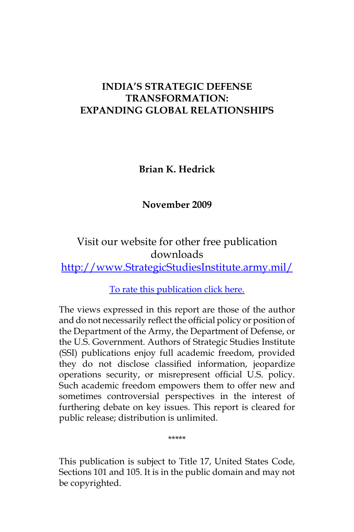# **INDIA'S STRATEGIC DEFENSE TRANSFORMATION: EXPANDING GLOBAL RELATIONSHIPS**

**Brian K. Hedrick**

**November 2009**

Visit our website for other free publication downloads [http://www.StrategicStudiesInstitute.army.mil/](http://www.strategicstudiesinstitute.army.mil)

[To rate this publication click here.](http://www.strategicstudiesinstitute.army.mil/pubs/display.cfm?pubID=950)

The views expressed in this report are those of the author and do not necessarily reflect the official policy or position of the Department of the Army, the Department of Defense, or the U.S. Government. Authors of Strategic Studies Institute (SSI) publications enjoy full academic freedom, provided they do not disclose classified information, jeopardize operations security, or misrepresent official U.S. policy. Such academic freedom empowers them to offer new and sometimes controversial perspectives in the interest of furthering debate on key issues. This report is cleared for public release; distribution is unlimited.

This publication is subject to Title 17, United States Code, Sections 101 and 105. It is in the public domain and may not be copyrighted.

\*\*\*\*\*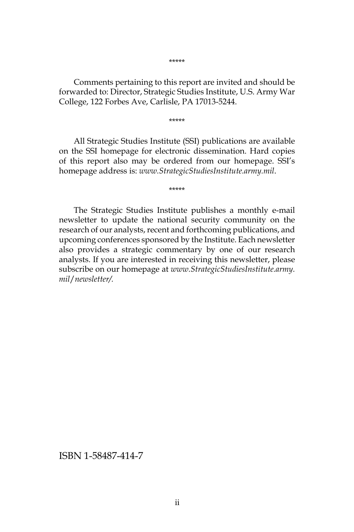Comments pertaining to this report are invited and should be forwarded to: Director, Strategic Studies Institute, U.S. Army War College, 122 Forbes Ave, Carlisle, PA 17013-5244.

\*\*\*\*\*

All Strategic Studies Institute (SSI) publications are available on the SSI homepage for electronic dissemination. Hard copies of this report also may be ordered from our homepage. SSI's homepage address is: *www.StrategicStudiesInstitute.army.mil*.

\*\*\*\*\*

The Strategic Studies Institute publishes a monthly e-mail newsletter to update the national security community on the research of our analysts, recent and forthcoming publications, and upcoming conferences sponsored by the Institute. Each newsletter also provides a strategic commentary by one of our research analysts. If you are interested in receiving this newsletter, please subscribe on our homepage at *www.StrategicStudiesInstitute.army. mil*/*newsletter/.*

ISBN 1-58487-414-7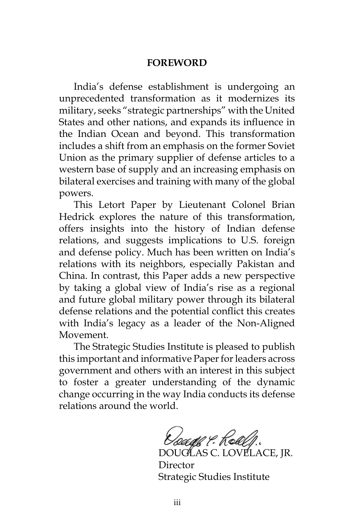#### **FOREWORD**

India's defense establishment is undergoing an unprecedented transformation as it modernizes its military, seeks "strategic partnerships" with the United States and other nations, and expands its influence in the Indian Ocean and beyond. This transformation includes a shift from an emphasis on the former Soviet Union as the primary supplier of defense articles to a western base of supply and an increasing emphasis on bilateral exercises and training with many of the global powers.

This Letort Paper by Lieutenant Colonel Brian Hedrick explores the nature of this transformation, offers insights into the history of Indian defense relations, and suggests implications to U.S. foreign and defense policy. Much has been written on India's relations with its neighbors, especially Pakistan and China. In contrast, this Paper adds a new perspective by taking a global view of India's rise as a regional and future global military power through its bilateral defense relations and the potential conflict this creates with India's legacy as a leader of the Non-Aligned Movement.

The Strategic Studies Institute is pleased to publish this important and informative Paper for leaders across government and others with an interest in this subject to foster a greater understanding of the dynamic change occurring in the way India conducts its defense relations around the world.

toage & Kole

DOUGLAS C. LOVELACE, JR. Director Strategic Studies Institute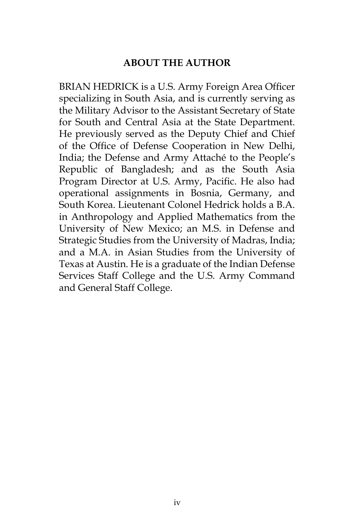### **ABOUT THE AUTHOR**

BRIAN HEDRICK is a U.S. Army Foreign Area Officer specializing in South Asia, and is currently serving as the Military Advisor to the Assistant Secretary of State for South and Central Asia at the State Department. He previously served as the Deputy Chief and Chief of the Office of Defense Cooperation in New Delhi, India; the Defense and Army Attaché to the People's Republic of Bangladesh; and as the South Asia Program Director at U.S. Army, Pacific. He also had operational assignments in Bosnia, Germany, and South Korea. Lieutenant Colonel Hedrick holds a B.A. in Anthropology and Applied Mathematics from the University of New Mexico; an M.S. in Defense and Strategic Studies from the University of Madras, India; and a M.A. in Asian Studies from the University of Texas at Austin. He is a graduate of the Indian Defense Services Staff College and the U.S. Army Command and General Staff College.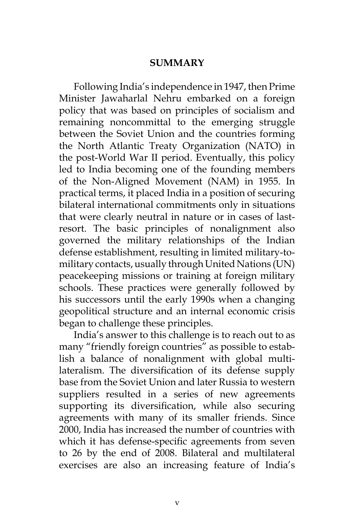#### **SUMMARY**

Following India's independence in 1947, then Prime Minister Jawaharlal Nehru embarked on a foreign policy that was based on principles of socialism and remaining noncommittal to the emerging struggle between the Soviet Union and the countries forming the North Atlantic Treaty Organization (NATO) in the post-World War II period. Eventually, this policy led to India becoming one of the founding members of the Non-Aligned Movement (NAM) in 1955. In practical terms, it placed India in a position of securing bilateral international commitments only in situations that were clearly neutral in nature or in cases of lastresort. The basic principles of nonalignment also governed the military relationships of the Indian defense establishment, resulting in limited military-tomilitary contacts, usually through United Nations (UN) peacekeeping missions or training at foreign military schools. These practices were generally followed by his successors until the early 1990s when a changing geopolitical structure and an internal economic crisis began to challenge these principles.

India's answer to this challenge is to reach out to as many "friendly foreign countries" as possible to establish a balance of nonalignment with global multilateralism. The diversification of its defense supply base from the Soviet Union and later Russia to western suppliers resulted in a series of new agreements supporting its diversification, while also securing agreements with many of its smaller friends. Since 2000, India has increased the number of countries with which it has defense-specific agreements from seven to 26 by the end of 2008. Bilateral and multilateral exercises are also an increasing feature of India's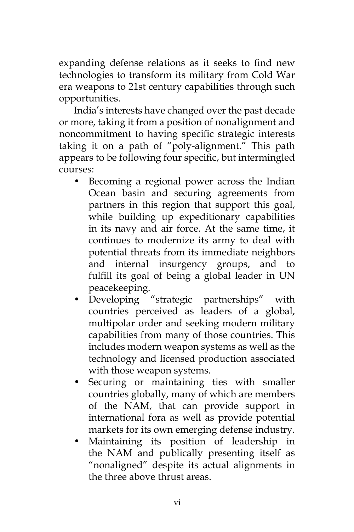expanding defense relations as it seeks to find new technologies to transform its military from Cold War era weapons to 21st century capabilities through such opportunities.

India's interests have changed over the past decade or more, taking it from a position of nonalignment and noncommitment to having specific strategic interests taking it on a path of "poly-alignment." This path appears to be following four specific, but intermingled courses:

- Becoming a regional power across the Indian Ocean basin and securing agreements from partners in this region that support this goal, while building up expeditionary capabilities in its navy and air force. At the same time, it continues to modernize its army to deal with potential threats from its immediate neighbors and internal insurgency groups, and to fulfill its goal of being a global leader in UN peacekeeping.
- Developing "strategic partnerships" with countries perceived as leaders of a global, multipolar order and seeking modern military capabilities from many of those countries. This includes modern weapon systems as well as the technology and licensed production associated with those weapon systems.
- Securing or maintaining ties with smaller countries globally, many of which are members of the NAM, that can provide support in international fora as well as provide potential markets for its own emerging defense industry.
- Maintaining its position of leadership in the NAM and publically presenting itself as "nonaligned" despite its actual alignments in the three above thrust areas.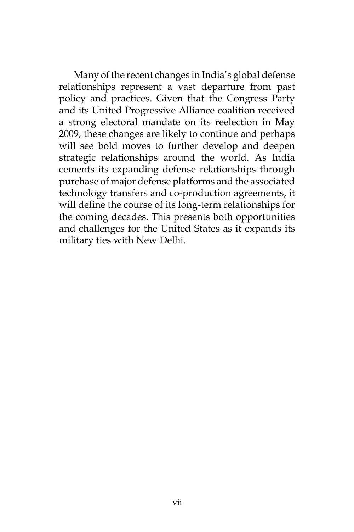Many of the recent changes in India's global defense relationships represent a vast departure from past policy and practices. Given that the Congress Party and its United Progressive Alliance coalition received a strong electoral mandate on its reelection in May 2009, these changes are likely to continue and perhaps will see bold moves to further develop and deepen strategic relationships around the world. As India cements its expanding defense relationships through purchase of major defense platforms and the associated technology transfers and co-production agreements, it will define the course of its long-term relationships for the coming decades. This presents both opportunities and challenges for the United States as it expands its military ties with New Delhi.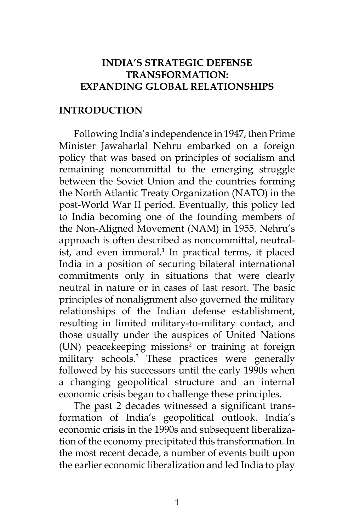## **INDIA'S STRATEGIC DEFENSE TRANSFORMATION: EXPANDING GLOBAL RELATIONSHIPS**

#### **INTRODUCTION**

Following India's independence in 1947, then Prime Minister Jawaharlal Nehru embarked on a foreign policy that was based on principles of socialism and remaining noncommittal to the emerging struggle between the Soviet Union and the countries forming the North Atlantic Treaty Organization (NATO) in the post-World War II period. Eventually, this policy led to India becoming one of the founding members of the Non-Aligned Movement (NAM) in 1955. Nehru's approach is often described as noncommittal, neutralist, and even immoral.<sup>1</sup> In practical terms, it placed India in a position of securing bilateral international commitments only in situations that were clearly neutral in nature or in cases of last resort. The basic principles of nonalignment also governed the military relationships of the Indian defense establishment, resulting in limited military-to-military contact, and those usually under the auspices of United Nations (UN) peacekeeping missions<sup>2</sup> or training at foreign military schools.3 These practices were generally followed by his successors until the early 1990s when a changing geopolitical structure and an internal economic crisis began to challenge these principles.

The past 2 decades witnessed a significant transformation of India's geopolitical outlook. India's economic crisis in the 1990s and subsequent liberalization of the economy precipitated this transformation. In the most recent decade, a number of events built upon the earlier economic liberalization and led India to play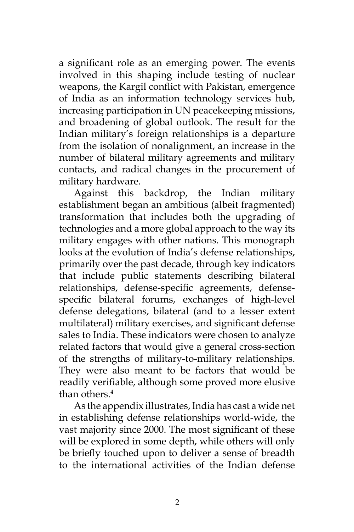a significant role as an emerging power. The events involved in this shaping include testing of nuclear weapons, the Kargil conflict with Pakistan, emergence of India as an information technology services hub, increasing participation in UN peacekeeping missions, and broadening of global outlook. The result for the Indian military's foreign relationships is a departure from the isolation of nonalignment, an increase in the number of bilateral military agreements and military contacts, and radical changes in the procurement of military hardware.

Against this backdrop, the Indian military establishment began an ambitious (albeit fragmented) transformation that includes both the upgrading of technologies and a more global approach to the way its military engages with other nations. This monograph looks at the evolution of India's defense relationships, primarily over the past decade, through key indicators that include public statements describing bilateral relationships, defense-specific agreements, defensespecific bilateral forums, exchanges of high-level defense delegations, bilateral (and to a lesser extent multilateral) military exercises, and significant defense sales to India. These indicators were chosen to analyze related factors that would give a general cross-section of the strengths of military-to-military relationships. They were also meant to be factors that would be readily verifiable, although some proved more elusive than others.4

As the appendix illustrates, India has cast a wide net in establishing defense relationships world-wide, the vast majority since 2000. The most significant of these will be explored in some depth, while others will only be briefly touched upon to deliver a sense of breadth to the international activities of the Indian defense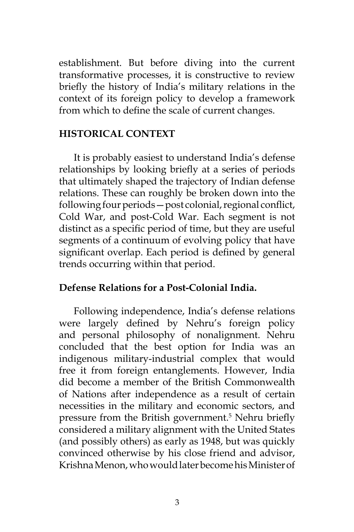establishment. But before diving into the current transformative processes, it is constructive to review briefly the history of India's military relations in the context of its foreign policy to develop a framework from which to define the scale of current changes.

#### **HISTORICAL CONTEXT**

It is probably easiest to understand India's defense relationships by looking briefly at a series of periods that ultimately shaped the trajectory of Indian defense relations. These can roughly be broken down into the following four periods—post colonial, regional conflict, Cold War, and post-Cold War. Each segment is not distinct as a specific period of time, but they are useful segments of a continuum of evolving policy that have significant overlap. Each period is defined by general trends occurring within that period.

#### **Defense Relations for a Post-Colonial India.**

Following independence, India's defense relations were largely defined by Nehru's foreign policy and personal philosophy of nonalignment. Nehru concluded that the best option for India was an indigenous military-industrial complex that would free it from foreign entanglements. However, India did become a member of the British Commonwealth of Nations after independence as a result of certain necessities in the military and economic sectors, and pressure from the British government.5 Nehru briefly considered a military alignment with the United States (and possibly others) as early as 1948, but was quickly convinced otherwise by his close friend and advisor, Krishna Menon, who would later become his Minister of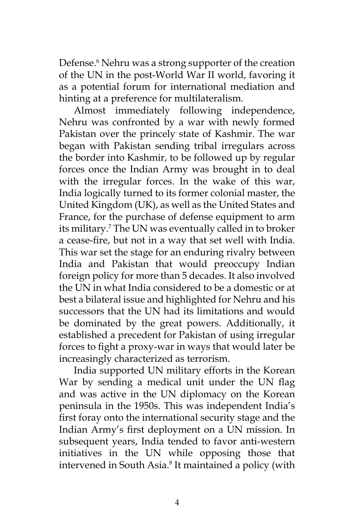Defense.<sup>6</sup> Nehru was a strong supporter of the creation of the UN in the post-World War II world, favoring it as a potential forum for international mediation and hinting at a preference for multilateralism.

Almost immediately following independence, Nehru was confronted by a war with newly formed Pakistan over the princely state of Kashmir. The war began with Pakistan sending tribal irregulars across the border into Kashmir, to be followed up by regular forces once the Indian Army was brought in to deal with the irregular forces. In the wake of this war, India logically turned to its former colonial master, the United Kingdom (UK), as well as the United States and France, for the purchase of defense equipment to arm its military.7 The UN was eventually called in to broker a cease-fire, but not in a way that set well with India. This war set the stage for an enduring rivalry between India and Pakistan that would preoccupy Indian foreign policy for more than 5 decades. It also involved the UN in what India considered to be a domestic or at best a bilateral issue and highlighted for Nehru and his successors that the UN had its limitations and would be dominated by the great powers. Additionally, it established a precedent for Pakistan of using irregular forces to fight a proxy-war in ways that would later be increasingly characterized as terrorism.

India supported UN military efforts in the Korean War by sending a medical unit under the UN flag and was active in the UN diplomacy on the Korean peninsula in the 1950s. This was independent India's first foray onto the international security stage and the Indian Army's first deployment on a UN mission. In subsequent years, India tended to favor anti-western initiatives in the UN while opposing those that intervened in South Asia.8 It maintained a policy (with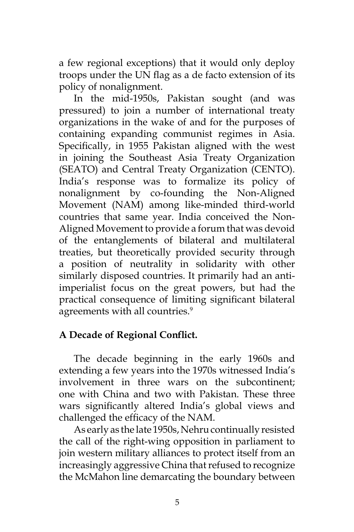a few regional exceptions) that it would only deploy troops under the UN flag as a de facto extension of its policy of nonalignment.

In the mid-1950s, Pakistan sought (and was pressured) to join a number of international treaty organizations in the wake of and for the purposes of containing expanding communist regimes in Asia. Specifically, in 1955 Pakistan aligned with the west in joining the Southeast Asia Treaty Organization (SEATO) and Central Treaty Organization (CENTO). India's response was to formalize its policy of nonalignment by co-founding the Non-Aligned Movement (NAM) among like-minded third-world countries that same year. India conceived the Non-Aligned Movement to provide a forum that was devoid of the entanglements of bilateral and multilateral treaties, but theoretically provided security through a position of neutrality in solidarity with other similarly disposed countries. It primarily had an antiimperialist focus on the great powers, but had the practical consequence of limiting significant bilateral agreements with all countries.<sup>9</sup>

# **A Decade of Regional Conflict.**

The decade beginning in the early 1960s and extending a few years into the 1970s witnessed India's involvement in three wars on the subcontinent; one with China and two with Pakistan. These three wars significantly altered India's global views and challenged the efficacy of the NAM.

As early as the late 1950s, Nehru continually resisted the call of the right-wing opposition in parliament to join western military alliances to protect itself from an increasingly aggressive China that refused to recognize the McMahon line demarcating the boundary between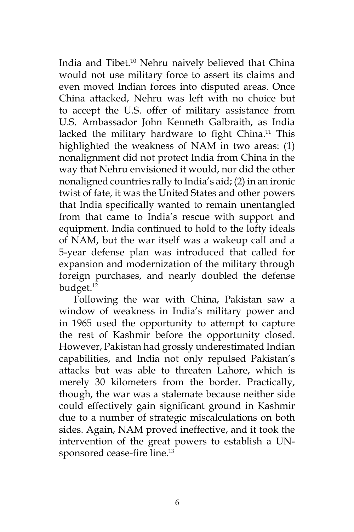India and Tibet.10 Nehru naively believed that China would not use military force to assert its claims and even moved Indian forces into disputed areas. Once China attacked, Nehru was left with no choice but to accept the U.S. offer of military assistance from U.S. Ambassador John Kenneth Galbraith, as India lacked the military hardware to fight China.<sup>11</sup> This highlighted the weakness of NAM in two areas: (1) nonalignment did not protect India from China in the way that Nehru envisioned it would, nor did the other nonaligned countries rally to India's aid; (2) in an ironic twist of fate, it was the United States and other powers that India specifically wanted to remain unentangled from that came to India's rescue with support and equipment. India continued to hold to the lofty ideals of NAM, but the war itself was a wakeup call and a 5-year defense plan was introduced that called for expansion and modernization of the military through foreign purchases, and nearly doubled the defense budget.12

Following the war with China, Pakistan saw a window of weakness in India's military power and in 1965 used the opportunity to attempt to capture the rest of Kashmir before the opportunity closed. However, Pakistan had grossly underestimated Indian capabilities, and India not only repulsed Pakistan's attacks but was able to threaten Lahore, which is merely 30 kilometers from the border. Practically, though, the war was a stalemate because neither side could effectively gain significant ground in Kashmir due to a number of strategic miscalculations on both sides. Again, NAM proved ineffective, and it took the intervention of the great powers to establish a UNsponsored cease-fire line.<sup>13</sup>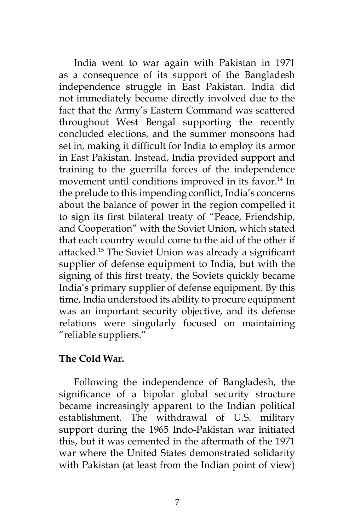India went to war again with Pakistan in 1971 as a consequence of its support of the Bangladesh independence struggle in East Pakistan. India did not immediately become directly involved due to the fact that the Army's Eastern Command was scattered throughout West Bengal supporting the recently concluded elections, and the summer monsoons had set in, making it difficult for India to employ its armor in East Pakistan. Instead, India provided support and training to the guerrilla forces of the independence movement until conditions improved in its favor.<sup>14</sup> In the prelude to this impending conflict, India's concerns about the balance of power in the region compelled it to sign its first bilateral treaty of "Peace, Friendship, and Cooperation" with the Soviet Union, which stated that each country would come to the aid of the other if attacked.15 The Soviet Union was already a significant supplier of defense equipment to India, but with the signing of this first treaty, the Soviets quickly became India's primary supplier of defense equipment. By this time, India understood its ability to procure equipment was an important security objective, and its defense relations were singularly focused on maintaining "reliable suppliers."

### **The Cold War.**

Following the independence of Bangladesh, the significance of a bipolar global security structure became increasingly apparent to the Indian political establishment. The withdrawal of U.S. military support during the 1965 Indo-Pakistan war initiated this, but it was cemented in the aftermath of the 1971 war where the United States demonstrated solidarity with Pakistan (at least from the Indian point of view)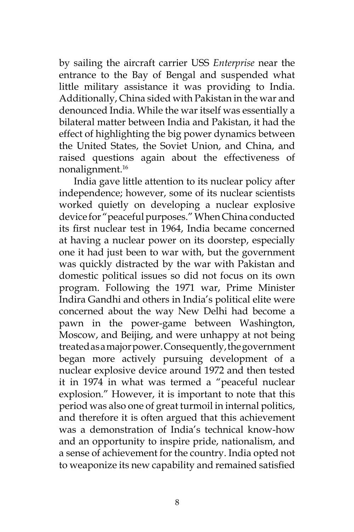by sailing the aircraft carrier USS *Enterprise* near the entrance to the Bay of Bengal and suspended what little military assistance it was providing to India. Additionally, China sided with Pakistan in the war and denounced India. While the war itself was essentially a bilateral matter between India and Pakistan, it had the effect of highlighting the big power dynamics between the United States, the Soviet Union, and China, and raised questions again about the effectiveness of nonalignment.<sup>16</sup>

India gave little attention to its nuclear policy after independence; however, some of its nuclear scientists worked quietly on developing a nuclear explosive device for "peaceful purposes." When China conducted its first nuclear test in 1964, India became concerned at having a nuclear power on its doorstep, especially one it had just been to war with, but the government was quickly distracted by the war with Pakistan and domestic political issues so did not focus on its own program. Following the 1971 war, Prime Minister Indira Gandhi and others in India's political elite were concerned about the way New Delhi had become a pawn in the power-game between Washington, Moscow, and Beijing, and were unhappy at not being treated as a major power. Consequently, the government began more actively pursuing development of a nuclear explosive device around 1972 and then tested it in 1974 in what was termed a "peaceful nuclear explosion." However, it is important to note that this period was also one of great turmoil in internal politics, and therefore it is often argued that this achievement was a demonstration of India's technical know-how and an opportunity to inspire pride, nationalism, and a sense of achievement for the country. India opted not to weaponize its new capability and remained satisfied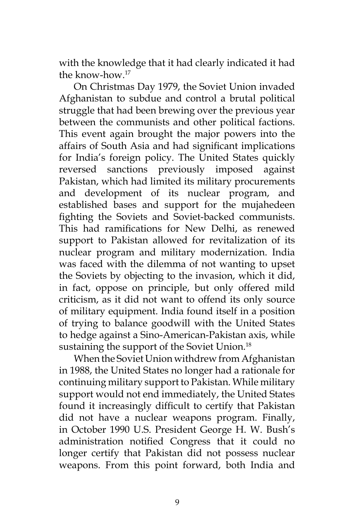with the knowledge that it had clearly indicated it had the know-how.17

On Christmas Day 1979, the Soviet Union invaded Afghanistan to subdue and control a brutal political struggle that had been brewing over the previous year between the communists and other political factions. This event again brought the major powers into the affairs of South Asia and had significant implications for India's foreign policy. The United States quickly reversed sanctions previously imposed against Pakistan, which had limited its military procurements and development of its nuclear program, and established bases and support for the mujahedeen fighting the Soviets and Soviet-backed communists. This had ramifications for New Delhi, as renewed support to Pakistan allowed for revitalization of its nuclear program and military modernization. India was faced with the dilemma of not wanting to upset the Soviets by objecting to the invasion, which it did, in fact, oppose on principle, but only offered mild criticism, as it did not want to offend its only source of military equipment. India found itself in a position of trying to balance goodwill with the United States to hedge against a Sino-American-Pakistan axis, while sustaining the support of the Soviet Union.<sup>18</sup>

When the Soviet Union withdrew from Afghanistan in 1988, the United States no longer had a rationale for continuing military support to Pakistan. While military support would not end immediately, the United States found it increasingly difficult to certify that Pakistan did not have a nuclear weapons program. Finally, in October 1990 U.S. President George H. W. Bush's administration notified Congress that it could no longer certify that Pakistan did not possess nuclear weapons. From this point forward, both India and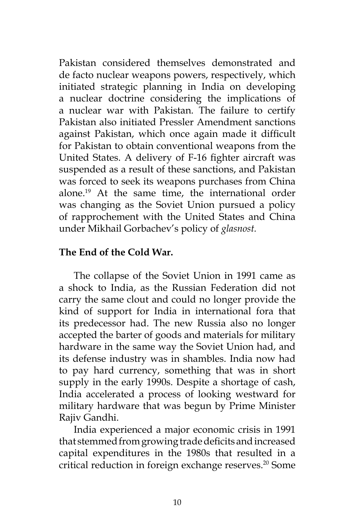Pakistan considered themselves demonstrated and de facto nuclear weapons powers, respectively, which initiated strategic planning in India on developing a nuclear doctrine considering the implications of a nuclear war with Pakistan. The failure to certify Pakistan also initiated Pressler Amendment sanctions against Pakistan, which once again made it difficult for Pakistan to obtain conventional weapons from the United States. A delivery of F-16 fighter aircraft was suspended as a result of these sanctions, and Pakistan was forced to seek its weapons purchases from China alone.19 At the same time, the international order was changing as the Soviet Union pursued a policy of rapprochement with the United States and China under Mikhail Gorbachev's policy of *glasnost.*

### **The End of the Cold War.**

The collapse of the Soviet Union in 1991 came as a shock to India, as the Russian Federation did not carry the same clout and could no longer provide the kind of support for India in international fora that its predecessor had. The new Russia also no longer accepted the barter of goods and materials for military hardware in the same way the Soviet Union had, and its defense industry was in shambles. India now had to pay hard currency, something that was in short supply in the early 1990s. Despite a shortage of cash, India accelerated a process of looking westward for military hardware that was begun by Prime Minister Rajiv Gandhi.

India experienced a major economic crisis in 1991 that stemmed from growing trade deficits and increased capital expenditures in the 1980s that resulted in a critical reduction in foreign exchange reserves.<sup>20</sup> Some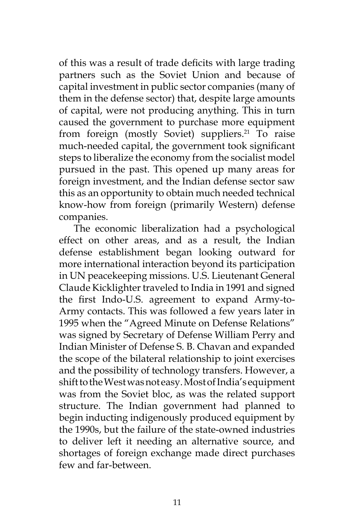of this was a result of trade deficits with large trading partners such as the Soviet Union and because of capital investment in public sector companies (many of them in the defense sector) that, despite large amounts of capital, were not producing anything. This in turn caused the government to purchase more equipment from foreign (mostly Soviet) suppliers.<sup>21</sup> To raise much-needed capital, the government took significant steps to liberalize the economy from the socialist model pursued in the past. This opened up many areas for foreign investment, and the Indian defense sector saw this as an opportunity to obtain much needed technical know-how from foreign (primarily Western) defense companies.

The economic liberalization had a psychological effect on other areas, and as a result, the Indian defense establishment began looking outward for more international interaction beyond its participation in UN peacekeeping missions. U.S. Lieutenant General Claude Kicklighter traveled to India in 1991 and signed the first Indo-U.S. agreement to expand Army-to-Army contacts. This was followed a few years later in 1995 when the "Agreed Minute on Defense Relations" was signed by Secretary of Defense William Perry and Indian Minister of Defense S. B. Chavan and expanded the scope of the bilateral relationship to joint exercises and the possibility of technology transfers. However, a shift to the West was not easy. Most of India's equipment was from the Soviet bloc, as was the related support structure. The Indian government had planned to begin inducting indigenously produced equipment by the 1990s, but the failure of the state-owned industries to deliver left it needing an alternative source, and shortages of foreign exchange made direct purchases few and far-between.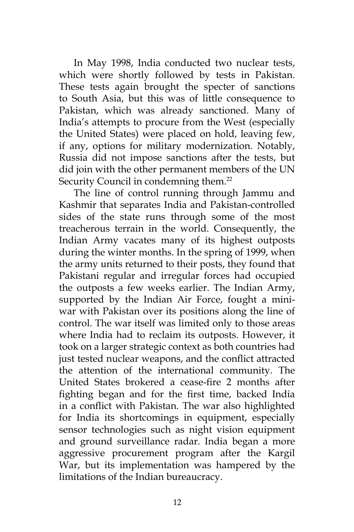In May 1998, India conducted two nuclear tests, which were shortly followed by tests in Pakistan. These tests again brought the specter of sanctions to South Asia, but this was of little consequence to Pakistan, which was already sanctioned. Many of India's attempts to procure from the West (especially the United States) were placed on hold, leaving few, if any, options for military modernization. Notably, Russia did not impose sanctions after the tests, but did join with the other permanent members of the UN Security Council in condemning them.<sup>22</sup>

The line of control running through Jammu and Kashmir that separates India and Pakistan-controlled sides of the state runs through some of the most treacherous terrain in the world. Consequently, the Indian Army vacates many of its highest outposts during the winter months. In the spring of 1999, when the army units returned to their posts, they found that Pakistani regular and irregular forces had occupied the outposts a few weeks earlier. The Indian Army, supported by the Indian Air Force, fought a miniwar with Pakistan over its positions along the line of control. The war itself was limited only to those areas where India had to reclaim its outposts. However, it took on a larger strategic context as both countries had just tested nuclear weapons, and the conflict attracted the attention of the international community. The United States brokered a cease-fire 2 months after fighting began and for the first time, backed India in a conflict with Pakistan. The war also highlighted for India its shortcomings in equipment, especially sensor technologies such as night vision equipment and ground surveillance radar. India began a more aggressive procurement program after the Kargil War, but its implementation was hampered by the limitations of the Indian bureaucracy.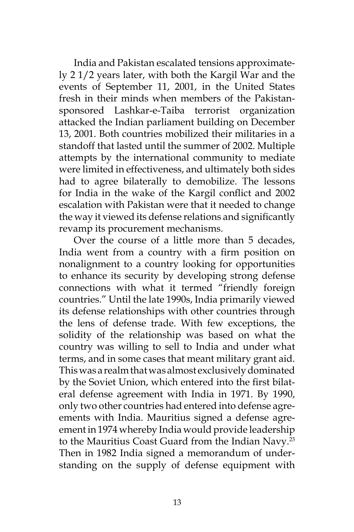India and Pakistan escalated tensions approximately 2 1/2 years later, with both the Kargil War and the events of September 11, 2001, in the United States fresh in their minds when members of the Pakistansponsored Lashkar-e-Taiba terrorist organization attacked the Indian parliament building on December 13, 2001. Both countries mobilized their militaries in a standoff that lasted until the summer of 2002. Multiple attempts by the international community to mediate were limited in effectiveness, and ultimately both sides had to agree bilaterally to demobilize. The lessons for India in the wake of the Kargil conflict and 2002 escalation with Pakistan were that it needed to change the way it viewed its defense relations and significantly revamp its procurement mechanisms.

Over the course of a little more than 5 decades, India went from a country with a firm position on nonalignment to a country looking for opportunities to enhance its security by developing strong defense connections with what it termed "friendly foreign countries." Until the late 1990s, India primarily viewed its defense relationships with other countries through the lens of defense trade. With few exceptions, the solidity of the relationship was based on what the country was willing to sell to India and under what terms, and in some cases that meant military grant aid. This was a realm that was almost exclusively dominated by the Soviet Union, which entered into the first bilateral defense agreement with India in 1971. By 1990, only two other countries had entered into defense agreements with India. Mauritius signed a defense agreement in 1974 whereby India would provide leadership to the Mauritius Coast Guard from the Indian Navy.<sup>23</sup> Then in 1982 India signed a memorandum of understanding on the supply of defense equipment with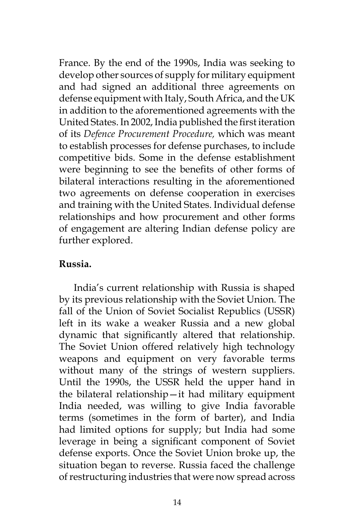France. By the end of the 1990s, India was seeking to develop other sources of supply for military equipment and had signed an additional three agreements on defense equipment with Italy, South Africa, and the UK in addition to the aforementioned agreements with the United States. In 2002, India published the first iteration of its *Defence Procurement Procedure,* which was meant to establish processes for defense purchases, to include competitive bids. Some in the defense establishment were beginning to see the benefits of other forms of bilateral interactions resulting in the aforementioned two agreements on defense cooperation in exercises and training with the United States. Individual defense relationships and how procurement and other forms of engagement are altering Indian defense policy are further explored.

## **Russia.**

India's current relationship with Russia is shaped by its previous relationship with the Soviet Union. The fall of the Union of Soviet Socialist Republics (USSR) left in its wake a weaker Russia and a new global dynamic that significantly altered that relationship. The Soviet Union offered relatively high technology weapons and equipment on very favorable terms without many of the strings of western suppliers. Until the 1990s, the USSR held the upper hand in the bilateral relationship—it had military equipment India needed, was willing to give India favorable terms (sometimes in the form of barter), and India had limited options for supply; but India had some leverage in being a significant component of Soviet defense exports. Once the Soviet Union broke up, the situation began to reverse. Russia faced the challenge of restructuring industries that were now spread across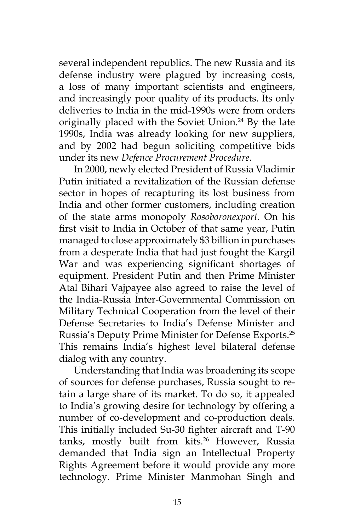several independent republics. The new Russia and its defense industry were plagued by increasing costs, a loss of many important scientists and engineers, and increasingly poor quality of its products. Its only deliveries to India in the mid-1990s were from orders originally placed with the Soviet Union.<sup>24</sup> By the late 1990s, India was already looking for new suppliers, and by 2002 had begun soliciting competitive bids under its new *Defence Procurement Procedure*.

In 2000, newly elected President of Russia Vladimir Putin initiated a revitalization of the Russian defense sector in hopes of recapturing its lost business from India and other former customers, including creation of the state arms monopoly *Rosoboronexport*. On his first visit to India in October of that same year, Putin managed to close approximately \$3 billion in purchases from a desperate India that had just fought the Kargil War and was experiencing significant shortages of equipment. President Putin and then Prime Minister Atal Bihari Vajpayee also agreed to raise the level of the India-Russia Inter-Governmental Commission on Military Technical Cooperation from the level of their Defense Secretaries to India's Defense Minister and Russia's Deputy Prime Minister for Defense Exports.25 This remains India's highest level bilateral defense dialog with any country.

Understanding that India was broadening its scope of sources for defense purchases, Russia sought to retain a large share of its market. To do so, it appealed to India's growing desire for technology by offering a number of co-development and co-production deals. This initially included Su-30 fighter aircraft and T-90 tanks, mostly built from kits.<sup>26</sup> However, Russia demanded that India sign an Intellectual Property Rights Agreement before it would provide any more technology. Prime Minister Manmohan Singh and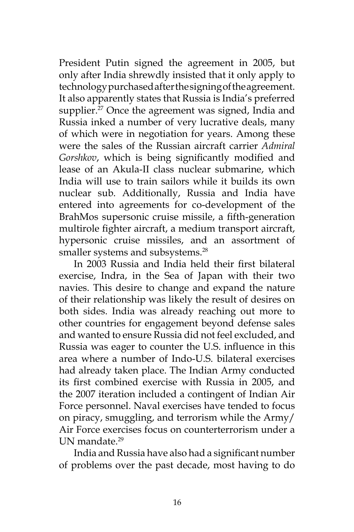President Putin signed the agreement in 2005, but only after India shrewdly insisted that it only apply to technology purchased after the signing of the agreement. It also apparently states that Russia is India's preferred supplier.<sup>27</sup> Once the agreement was signed, India and Russia inked a number of very lucrative deals, many of which were in negotiation for years. Among these were the sales of the Russian aircraft carrier *Admiral Gorshkov*, which is being significantly modified and lease of an Akula-II class nuclear submarine, which India will use to train sailors while it builds its own nuclear sub. Additionally, Russia and India have entered into agreements for co-development of the BrahMos supersonic cruise missile, a fifth-generation multirole fighter aircraft, a medium transport aircraft, hypersonic cruise missiles, and an assortment of smaller systems and subsystems.<sup>28</sup>

In 2003 Russia and India held their first bilateral exercise, Indra, in the Sea of Japan with their two navies. This desire to change and expand the nature of their relationship was likely the result of desires on both sides. India was already reaching out more to other countries for engagement beyond defense sales and wanted to ensure Russia did not feel excluded, and Russia was eager to counter the U.S. influence in this area where a number of Indo-U.S. bilateral exercises had already taken place. The Indian Army conducted its first combined exercise with Russia in 2005, and the 2007 iteration included a contingent of Indian Air Force personnel. Naval exercises have tended to focus on piracy, smuggling, and terrorism while the Army/ Air Force exercises focus on counterterrorism under a UN mandate.<sup>29</sup>

India and Russia have also had a significant number of problems over the past decade, most having to do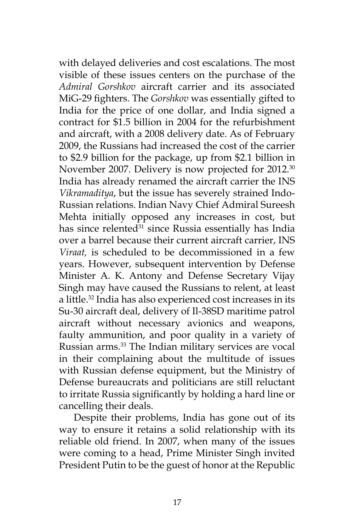with delayed deliveries and cost escalations. The most visible of these issues centers on the purchase of the *Admiral Gorshkov* aircraft carrier and its associated MiG-29 fighters. The *Gorshkov* was essentially gifted to India for the price of one dollar, and India signed a contract for \$1.5 billion in 2004 for the refurbishment and aircraft, with a 2008 delivery date. As of February 2009, the Russians had increased the cost of the carrier to \$2.9 billion for the package, up from \$2.1 billion in November 2007. Delivery is now projected for 2012.<sup>30</sup> India has already renamed the aircraft carrier the INS *Vikramaditya*, but the issue has severely strained Indo-Russian relations. Indian Navy Chief Admiral Sureesh Mehta initially opposed any increases in cost, but has since relented<sup>31</sup> since Russia essentially has India over a barrel because their current aircraft carrier, INS *Viraat,* is scheduled to be decommissioned in a few years. However, subsequent intervention by Defense Minister A. K. Antony and Defense Secretary Vijay Singh may have caused the Russians to relent, at least a little.32 India has also experienced cost increases in its Su-30 aircraft deal, delivery of Il-38SD maritime patrol aircraft without necessary avionics and weapons, faulty ammunition, and poor quality in a variety of Russian arms.33 The Indian military services are vocal in their complaining about the multitude of issues with Russian defense equipment, but the Ministry of Defense bureaucrats and politicians are still reluctant to irritate Russia significantly by holding a hard line or cancelling their deals.

Despite their problems, India has gone out of its way to ensure it retains a solid relationship with its reliable old friend. In 2007, when many of the issues were coming to a head, Prime Minister Singh invited President Putin to be the guest of honor at the Republic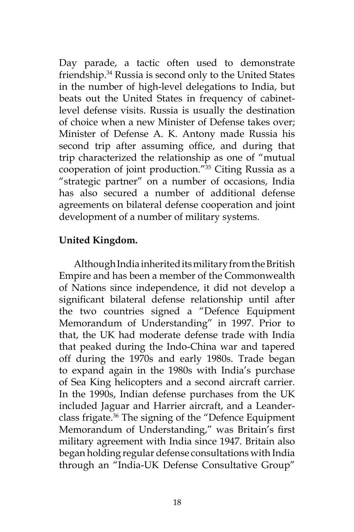Day parade, a tactic often used to demonstrate friendship.34 Russia is second only to the United States in the number of high-level delegations to India, but beats out the United States in frequency of cabinetlevel defense visits. Russia is usually the destination of choice when a new Minister of Defense takes over; Minister of Defense A. K. Antony made Russia his second trip after assuming office, and during that trip characterized the relationship as one of "mutual cooperation of joint production."35 Citing Russia as a "strategic partner" on a number of occasions, India has also secured a number of additional defense agreements on bilateral defense cooperation and joint development of a number of military systems.

# **United Kingdom.**

Although India inherited its military from the British Empire and has been a member of the Commonwealth of Nations since independence, it did not develop a significant bilateral defense relationship until after the two countries signed a "Defence Equipment Memorandum of Understanding" in 1997. Prior to that, the UK had moderate defense trade with India that peaked during the Indo-China war and tapered off during the 1970s and early 1980s. Trade began to expand again in the 1980s with India's purchase of Sea King helicopters and a second aircraft carrier. In the 1990s, Indian defense purchases from the UK included Jaguar and Harrier aircraft, and a Leanderclass frigate.36 The signing of the "Defence Equipment Memorandum of Understanding," was Britain's first military agreement with India since 1947. Britain also began holding regular defense consultations with India through an "India-UK Defense Consultative Group"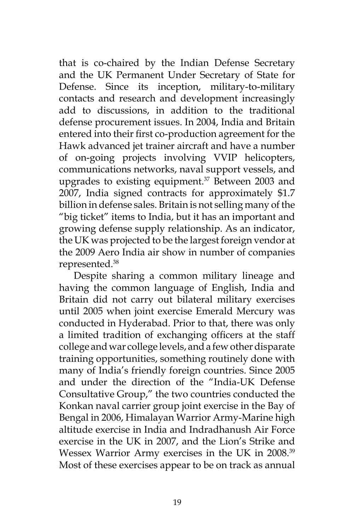that is co-chaired by the Indian Defense Secretary and the UK Permanent Under Secretary of State for Defense. Since its inception, military-to-military contacts and research and development increasingly add to discussions, in addition to the traditional defense procurement issues. In 2004, India and Britain entered into their first co-production agreement for the Hawk advanced jet trainer aircraft and have a number of on-going projects involving VVIP helicopters, communications networks, naval support vessels, and upgrades to existing equipment.<sup>37</sup> Between 2003 and 2007, India signed contracts for approximately \$1.7 billion in defense sales. Britain is not selling many of the "big ticket" items to India, but it has an important and growing defense supply relationship. As an indicator, the UK was projected to be the largest foreign vendor at the 2009 Aero India air show in number of companies represented.38

Despite sharing a common military lineage and having the common language of English, India and Britain did not carry out bilateral military exercises until 2005 when joint exercise Emerald Mercury was conducted in Hyderabad. Prior to that, there was only a limited tradition of exchanging officers at the staff college and war college levels, and a few other disparate training opportunities, something routinely done with many of India's friendly foreign countries. Since 2005 and under the direction of the "India-UK Defense Consultative Group," the two countries conducted the Konkan naval carrier group joint exercise in the Bay of Bengal in 2006, Himalayan Warrior Army-Marine high altitude exercise in India and Indradhanush Air Force exercise in the UK in 2007, and the Lion's Strike and Wessex Warrior Army exercises in the UK in 2008.39 Most of these exercises appear to be on track as annual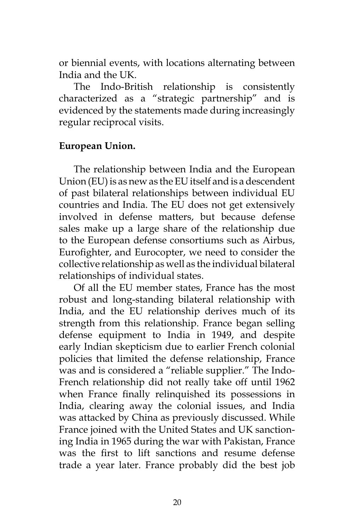or biennial events, with locations alternating between India and the UK.

The Indo-British relationship is consistently characterized as a "strategic partnership" and is evidenced by the statements made during increasingly regular reciprocal visits.

### **European Union.**

The relationship between India and the European Union (EU) is as new as the EU itself and is a descendent of past bilateral relationships between individual EU countries and India. The EU does not get extensively involved in defense matters, but because defense sales make up a large share of the relationship due to the European defense consortiums such as Airbus, Eurofighter, and Eurocopter, we need to consider the collective relationship as well as the individual bilateral relationships of individual states.

Of all the EU member states, France has the most robust and long-standing bilateral relationship with India, and the EU relationship derives much of its strength from this relationship. France began selling defense equipment to India in 1949, and despite early Indian skepticism due to earlier French colonial policies that limited the defense relationship, France was and is considered a "reliable supplier." The Indo-French relationship did not really take off until 1962 when France finally relinquished its possessions in India, clearing away the colonial issues, and India was attacked by China as previously discussed. While France joined with the United States and UK sanctioning India in 1965 during the war with Pakistan, France was the first to lift sanctions and resume defense trade a year later. France probably did the best job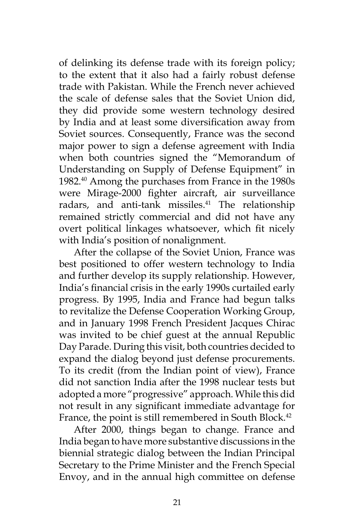of delinking its defense trade with its foreign policy; to the extent that it also had a fairly robust defense trade with Pakistan. While the French never achieved the scale of defense sales that the Soviet Union did, they did provide some western technology desired by India and at least some diversification away from Soviet sources. Consequently, France was the second major power to sign a defense agreement with India when both countries signed the "Memorandum of Understanding on Supply of Defense Equipment" in 1982.40 Among the purchases from France in the 1980s were Mirage-2000 fighter aircraft, air surveillance radars, and anti-tank missiles.<sup>41</sup> The relationship remained strictly commercial and did not have any overt political linkages whatsoever, which fit nicely with India's position of nonalignment.

After the collapse of the Soviet Union, France was best positioned to offer western technology to India and further develop its supply relationship. However, India's financial crisis in the early 1990s curtailed early progress. By 1995, India and France had begun talks to revitalize the Defense Cooperation Working Group, and in January 1998 French President Jacques Chirac was invited to be chief guest at the annual Republic Day Parade. During this visit, both countries decided to expand the dialog beyond just defense procurements. To its credit (from the Indian point of view), France did not sanction India after the 1998 nuclear tests but adopted a more "progressive" approach. While this did not result in any significant immediate advantage for France, the point is still remembered in South Block.<sup>42</sup>

After 2000, things began to change. France and India began to have more substantive discussions in the biennial strategic dialog between the Indian Principal Secretary to the Prime Minister and the French Special Envoy, and in the annual high committee on defense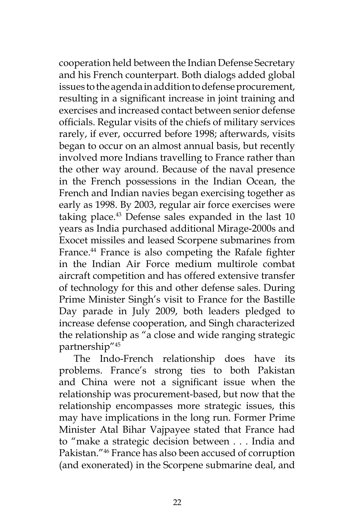cooperation held between the Indian Defense Secretary and his French counterpart. Both dialogs added global issues to the agenda in addition to defense procurement, resulting in a significant increase in joint training and exercises and increased contact between senior defense officials. Regular visits of the chiefs of military services rarely, if ever, occurred before 1998; afterwards, visits began to occur on an almost annual basis, but recently involved more Indians travelling to France rather than the other way around. Because of the naval presence in the French possessions in the Indian Ocean, the French and Indian navies began exercising together as early as 1998. By 2003, regular air force exercises were taking place.<sup>43</sup> Defense sales expanded in the last 10 years as India purchased additional Mirage-2000s and Exocet missiles and leased Scorpene submarines from France.<sup>44</sup> France is also competing the Rafale fighter in the Indian Air Force medium multirole combat aircraft competition and has offered extensive transfer of technology for this and other defense sales. During Prime Minister Singh's visit to France for the Bastille Day parade in July 2009, both leaders pledged to increase defense cooperation, and Singh characterized the relationship as "a close and wide ranging strategic partnership"45

The Indo-French relationship does have its problems. France's strong ties to both Pakistan and China were not a significant issue when the relationship was procurement-based, but now that the relationship encompasses more strategic issues, this may have implications in the long run. Former Prime Minister Atal Bihar Vajpayee stated that France had to "make a strategic decision between . . . India and Pakistan."46 France has also been accused of corruption (and exonerated) in the Scorpene submarine deal, and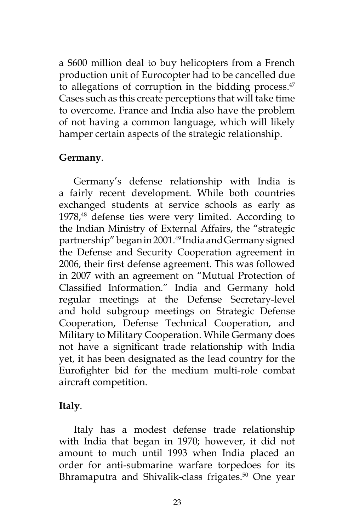a \$600 million deal to buy helicopters from a French production unit of Eurocopter had to be cancelled due to allegations of corruption in the bidding process. $47$ Cases such as this create perceptions that will take time to overcome. France and India also have the problem of not having a common language, which will likely hamper certain aspects of the strategic relationship.

### **Germany**.

Germany's defense relationship with India is a fairly recent development. While both countries exchanged students at service schools as early as 1978,<sup>48</sup> defense ties were very limited. According to the Indian Ministry of External Affairs, the "strategic partnership" began in 2001.<sup>49</sup> India and Germany signed the Defense and Security Cooperation agreement in 2006, their first defense agreement. This was followed in 2007 with an agreement on "Mutual Protection of Classified Information." India and Germany hold regular meetings at the Defense Secretary-level and hold subgroup meetings on Strategic Defense Cooperation, Defense Technical Cooperation, and Military to Military Cooperation. While Germany does not have a significant trade relationship with India yet, it has been designated as the lead country for the Eurofighter bid for the medium multi-role combat aircraft competition.

### **Italy**.

Italy has a modest defense trade relationship with India that began in 1970; however, it did not amount to much until 1993 when India placed an order for anti-submarine warfare torpedoes for its Bhramaputra and Shivalik-class frigates.<sup>50</sup> One year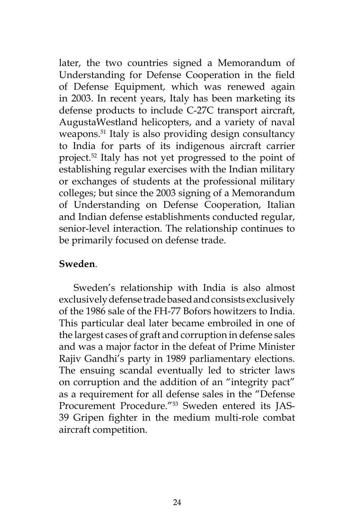later, the two countries signed a Memorandum of Understanding for Defense Cooperation in the field of Defense Equipment, which was renewed again in 2003. In recent years, Italy has been marketing its defense products to include C-27C transport aircraft, AugustaWestland helicopters, and a variety of naval weapons.<sup>51</sup> Italy is also providing design consultancy to India for parts of its indigenous aircraft carrier project.52 Italy has not yet progressed to the point of establishing regular exercises with the Indian military or exchanges of students at the professional military colleges; but since the 2003 signing of a Memorandum of Understanding on Defense Cooperation, Italian and Indian defense establishments conducted regular, senior-level interaction. The relationship continues to be primarily focused on defense trade.

## **Sweden**.

Sweden's relationship with India is also almost exclusively defense trade based and consists exclusively of the 1986 sale of the FH-77 Bofors howitzers to India. This particular deal later became embroiled in one of the largest cases of graft and corruption in defense sales and was a major factor in the defeat of Prime Minister Rajiv Gandhi's party in 1989 parliamentary elections. The ensuing scandal eventually led to stricter laws on corruption and the addition of an "integrity pact" as a requirement for all defense sales in the "Defense Procurement Procedure."53 Sweden entered its JAS-39 Gripen fighter in the medium multi-role combat aircraft competition.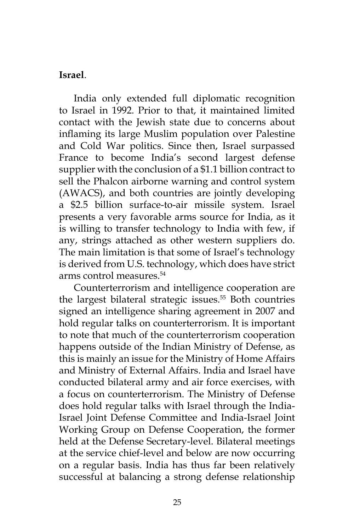#### **Israel**.

India only extended full diplomatic recognition to Israel in 1992. Prior to that, it maintained limited contact with the Jewish state due to concerns about inflaming its large Muslim population over Palestine and Cold War politics. Since then, Israel surpassed France to become India's second largest defense supplier with the conclusion of a \$1.1 billion contract to sell the Phalcon airborne warning and control system (AWACS), and both countries are jointly developing a \$2.5 billion surface-to-air missile system. Israel presents a very favorable arms source for India, as it is willing to transfer technology to India with few, if any, strings attached as other western suppliers do. The main limitation is that some of Israel's technology is derived from U.S. technology, which does have strict arms control measures.54

Counterterrorism and intelligence cooperation are the largest bilateral strategic issues.<sup>55</sup> Both countries signed an intelligence sharing agreement in 2007 and hold regular talks on counterterrorism. It is important to note that much of the counterterrorism cooperation happens outside of the Indian Ministry of Defense, as this is mainly an issue for the Ministry of Home Affairs and Ministry of External Affairs. India and Israel have conducted bilateral army and air force exercises, with a focus on counterterrorism. The Ministry of Defense does hold regular talks with Israel through the India-Israel Joint Defense Committee and India-Israel Joint Working Group on Defense Cooperation, the former held at the Defense Secretary-level. Bilateral meetings at the service chief-level and below are now occurring on a regular basis. India has thus far been relatively successful at balancing a strong defense relationship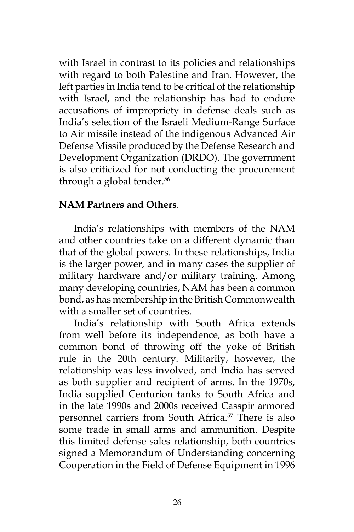with Israel in contrast to its policies and relationships with regard to both Palestine and Iran. However, the left parties in India tend to be critical of the relationship with Israel, and the relationship has had to endure accusations of impropriety in defense deals such as India's selection of the Israeli Medium-Range Surface to Air missile instead of the indigenous Advanced Air Defense Missile produced by the Defense Research and Development Organization (DRDO). The government is also criticized for not conducting the procurement through a global tender.<sup>56</sup>

## **NAM Partners and Others**.

India's relationships with members of the NAM and other countries take on a different dynamic than that of the global powers. In these relationships, India is the larger power, and in many cases the supplier of military hardware and/or military training. Among many developing countries, NAM has been a common bond, as has membership in the British Commonwealth with a smaller set of countries.

India's relationship with South Africa extends from well before its independence, as both have a common bond of throwing off the yoke of British rule in the 20th century. Militarily, however, the relationship was less involved, and India has served as both supplier and recipient of arms. In the 1970s, India supplied Centurion tanks to South Africa and in the late 1990s and 2000s received Casspir armored personnel carriers from South Africa.<sup>57</sup> There is also some trade in small arms and ammunition. Despite this limited defense sales relationship, both countries signed a Memorandum of Understanding concerning Cooperation in the Field of Defense Equipment in 1996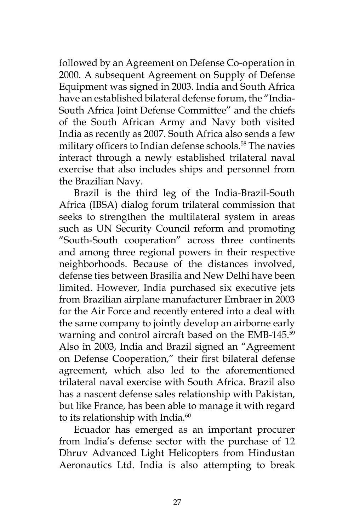followed by an Agreement on Defense Co-operation in 2000. A subsequent Agreement on Supply of Defense Equipment was signed in 2003. India and South Africa have an established bilateral defense forum, the "India-South Africa Joint Defense Committee" and the chiefs of the South African Army and Navy both visited India as recently as 2007. South Africa also sends a few military officers to Indian defense schools.<sup>58</sup> The navies interact through a newly established trilateral naval exercise that also includes ships and personnel from the Brazilian Navy.

Brazil is the third leg of the India-Brazil-South Africa (IBSA) dialog forum trilateral commission that seeks to strengthen the multilateral system in areas such as UN Security Council reform and promoting "South-South cooperation" across three continents and among three regional powers in their respective neighborhoods. Because of the distances involved, defense ties between Brasilia and New Delhi have been limited. However, India purchased six executive jets from Brazilian airplane manufacturer Embraer in 2003 for the Air Force and recently entered into a deal with the same company to jointly develop an airborne early warning and control aircraft based on the EMB-145.<sup>59</sup> Also in 2003, India and Brazil signed an "Agreement on Defense Cooperation," their first bilateral defense agreement, which also led to the aforementioned trilateral naval exercise with South Africa. Brazil also has a nascent defense sales relationship with Pakistan, but like France, has been able to manage it with regard to its relationship with India.<sup>60</sup>

Ecuador has emerged as an important procurer from India's defense sector with the purchase of 12 Dhruv Advanced Light Helicopters from Hindustan Aeronautics Ltd. India is also attempting to break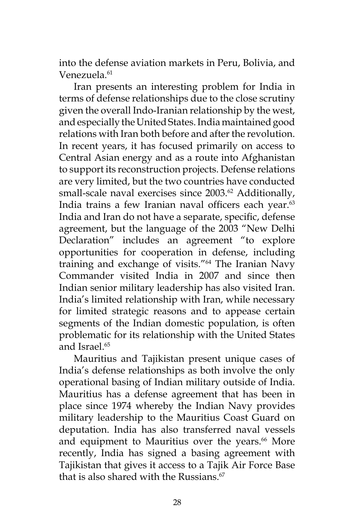into the defense aviation markets in Peru, Bolivia, and Venezuela.<sup>61</sup>

Iran presents an interesting problem for India in terms of defense relationships due to the close scrutiny given the overall Indo-Iranian relationship by the west, and especially the United States. India maintained good relations with Iran both before and after the revolution. In recent years, it has focused primarily on access to Central Asian energy and as a route into Afghanistan to support its reconstruction projects. Defense relations are very limited, but the two countries have conducted small-scale naval exercises since 2003.<sup>62</sup> Additionally, India trains a few Iranian naval officers each year.<sup>63</sup> India and Iran do not have a separate, specific, defense agreement, but the language of the 2003 "New Delhi Declaration" includes an agreement "to explore opportunities for cooperation in defense, including training and exchange of visits."64 The Iranian Navy Commander visited India in 2007 and since then Indian senior military leadership has also visited Iran. India's limited relationship with Iran, while necessary for limited strategic reasons and to appease certain segments of the Indian domestic population, is often problematic for its relationship with the United States and Israel.<sup>65</sup>

Mauritius and Tajikistan present unique cases of India's defense relationships as both involve the only operational basing of Indian military outside of India. Mauritius has a defense agreement that has been in place since 1974 whereby the Indian Navy provides military leadership to the Mauritius Coast Guard on deputation. India has also transferred naval vessels and equipment to Mauritius over the years.<sup>66</sup> More recently, India has signed a basing agreement with Tajikistan that gives it access to a Tajik Air Force Base that is also shared with the Russians. $67$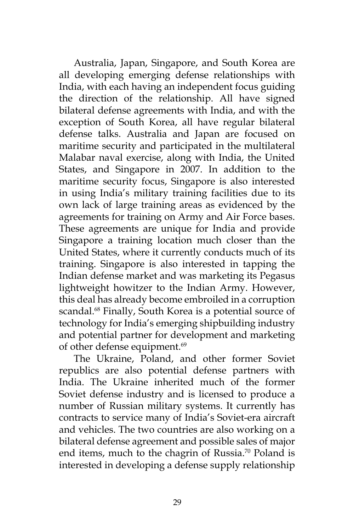Australia, Japan, Singapore, and South Korea are all developing emerging defense relationships with India, with each having an independent focus guiding the direction of the relationship. All have signed bilateral defense agreements with India, and with the exception of South Korea, all have regular bilateral defense talks. Australia and Japan are focused on maritime security and participated in the multilateral Malabar naval exercise, along with India, the United States, and Singapore in 2007. In addition to the maritime security focus, Singapore is also interested in using India's military training facilities due to its own lack of large training areas as evidenced by the agreements for training on Army and Air Force bases. These agreements are unique for India and provide Singapore a training location much closer than the United States, where it currently conducts much of its training. Singapore is also interested in tapping the Indian defense market and was marketing its Pegasus lightweight howitzer to the Indian Army. However, this deal has already become embroiled in a corruption scandal.<sup>68</sup> Finally, South Korea is a potential source of technology for India's emerging shipbuilding industry and potential partner for development and marketing of other defense equipment.<sup>69</sup>

The Ukraine, Poland, and other former Soviet republics are also potential defense partners with India. The Ukraine inherited much of the former Soviet defense industry and is licensed to produce a number of Russian military systems. It currently has contracts to service many of India's Soviet-era aircraft and vehicles. The two countries are also working on a bilateral defense agreement and possible sales of major end items, much to the chagrin of Russia.<sup>70</sup> Poland is interested in developing a defense supply relationship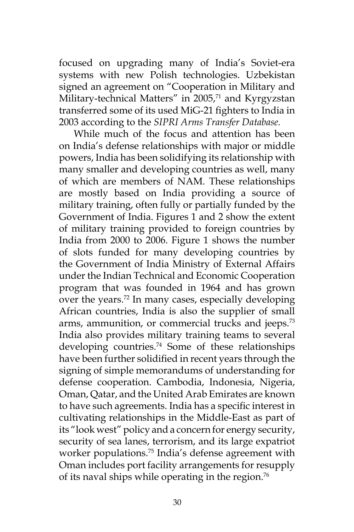focused on upgrading many of India's Soviet-era systems with new Polish technologies. Uzbekistan signed an agreement on "Cooperation in Military and Military-technical Matters" in 2005,<sup>71</sup> and Kyrgyzstan transferred some of its used MiG-21 fighters to India in 2003 according to the *SIPRI Arms Transfer Database.*

While much of the focus and attention has been on India's defense relationships with major or middle powers, India has been solidifying its relationship with many smaller and developing countries as well, many of which are members of NAM. These relationships are mostly based on India providing a source of military training, often fully or partially funded by the Government of India. Figures 1 and 2 show the extent of military training provided to foreign countries by India from 2000 to 2006. Figure 1 shows the number of slots funded for many developing countries by the Government of India Ministry of External Affairs under the Indian Technical and Economic Cooperation program that was founded in 1964 and has grown over the years.<sup>72</sup> In many cases, especially developing African countries, India is also the supplier of small arms, ammunition, or commercial trucks and jeeps.<sup>73</sup> India also provides military training teams to several developing countries.<sup>74</sup> Some of these relationships have been further solidified in recent years through the signing of simple memorandums of understanding for defense cooperation. Cambodia, Indonesia, Nigeria, Oman, Qatar, and the United Arab Emirates are known to have such agreements. India has a specific interest in cultivating relationships in the Middle-East as part of its "look west" policy and a concern for energy security, security of sea lanes, terrorism, and its large expatriot worker populations.75 India's defense agreement with Oman includes port facility arrangements for resupply of its naval ships while operating in the region.<sup>76</sup>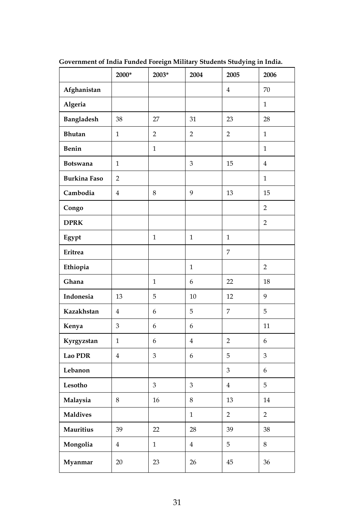|                     | 2000*          | 2003*          | 2004           | 2005           | 2006           |
|---------------------|----------------|----------------|----------------|----------------|----------------|
| Afghanistan         |                |                |                | $\overline{4}$ | 70             |
| Algeria             |                |                |                |                | $\mathbf{1}$   |
| Bangladesh          | 38             | 27             | 31             | 23             | 28             |
| <b>Bhutan</b>       | $\mathbf{1}$   | $\overline{2}$ | $\overline{2}$ | $\overline{2}$ | $\mathbf{1}$   |
| Benin               |                | $\mathbf{1}$   |                |                | $\mathbf{1}$   |
| <b>Botswana</b>     | $\mathbf{1}$   |                | 3              | 15             | $\overline{4}$ |
| <b>Burkina Faso</b> | $\overline{2}$ |                |                |                | $\mathbf{1}$   |
| Cambodia            | $\overline{4}$ | 8              | 9              | 13             | 15             |
| Congo               |                |                |                |                | $\overline{2}$ |
| <b>DPRK</b>         |                |                |                |                | $\overline{2}$ |
| Egypt               |                | $\mathbf{1}$   | $\mathbf{1}$   | $\mathbf{1}$   |                |
| Eritrea             |                |                |                | 7              |                |
| Ethiopia            |                |                | $\mathbf{1}$   |                | $\overline{2}$ |
| Ghana               |                | $\mathbf{1}$   | 6              | 22             | 18             |
| Indonesia           | 13             | 5              | 10             | 12             | 9              |
| Kazakhstan          | $\overline{4}$ | 6              | 5              | 7              | 5              |
| Kenya               | 3              | 6              | 6              |                | 11             |
| Kyrgyzstan          | $\mathbf{1}$   | 6              | $\overline{4}$ | $\overline{2}$ | 6              |
| Lao PDR             | $\overline{4}$ | 3              | 6              | 5              | 3              |
| Lebanon             |                |                |                | 3              | 6              |
| Lesotho             |                | 3              | 3              | $\overline{4}$ | 5              |
| Malaysia            | 8              | 16             | 8              | 13             | 14             |
| <b>Maldives</b>     |                |                | $\mathbf{1}$   | $\overline{2}$ | $\overline{2}$ |
| <b>Mauritius</b>    | 39             | 22             | 28             | 39             | 38             |
| Mongolia            | $\overline{4}$ | $\mathbf{1}$   | $\overline{4}$ | 5              | 8              |
| Myanmar             | 20             | 23             | 26             | 45             | 36             |

**Government of India Funded Foreign Military Students Studying in India.**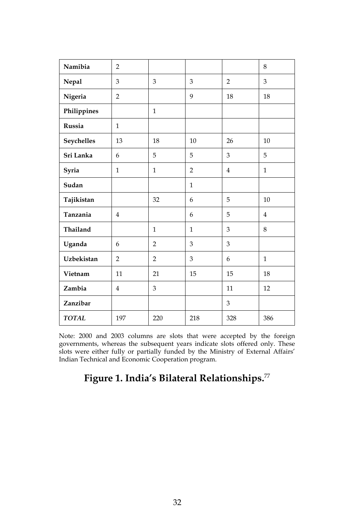| Namibia           | $\overline{2}$ |                |                |                | 8              |
|-------------------|----------------|----------------|----------------|----------------|----------------|
| Nepal             | 3              | 3              | 3              | $\overline{2}$ | 3              |
| Nigeria           | $\overline{2}$ |                | 9              | 18             | 18             |
| Philippines       |                | $\mathbf{1}$   |                |                |                |
| Russia            | $\mathbf{1}$   |                |                |                |                |
| Seychelles        | 13             | 18             | 10             | 26             | 10             |
| Sri Lanka         | 6              | 5              | 5              | 3              | 5              |
| Syria             | $\mathbf{1}$   | $\mathbf{1}$   | $\overline{2}$ | $\overline{4}$ | 1              |
| Sudan             |                |                | $\mathbf{1}$   |                |                |
| Tajikistan        |                | 32             | 6              | 5              | 10             |
| Tanzania          | $\overline{4}$ |                | 6              | 5              | $\overline{4}$ |
| Thailand          |                | $\mathbf{1}$   | $\mathbf{1}$   | 3              | 8              |
| Uganda            | 6              | $\overline{2}$ | 3              | 3              |                |
| <b>Uzbekistan</b> | $\overline{2}$ | $\overline{2}$ | 3              | 6              | $\mathbf{1}$   |
| Vietnam           | 11             | 21             | 15             | 15             | 18             |
| Zambia            | $\overline{4}$ | 3              |                | 11             | 12             |
| Zanzibar          |                |                |                | 3              |                |
| <b>TOTAL</b>      | 197            | 220            | 218            | 328            | 386            |

Note: 2000 and 2003 columns are slots that were accepted by the foreign governments, whereas the subsequent years indicate slots offered only. These slots were either fully or partially funded by the Ministry of External Affairs' Indian Technical and Economic Cooperation program.

### **Figure 1. India's Bilateral Relationships.**77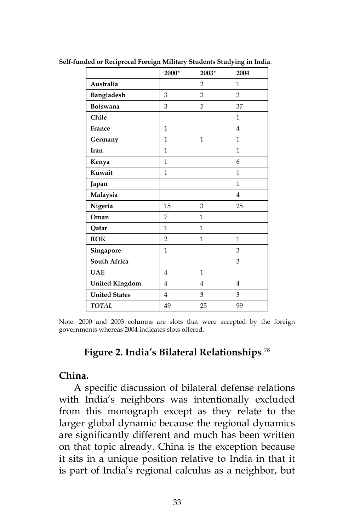|                       | 2000*          | 2003*          | 2004           |
|-----------------------|----------------|----------------|----------------|
| Australia             |                | $\overline{2}$ | 1              |
| Bangladesh            | 3              | 3              | 3              |
| <b>Botswana</b>       | 3              | 5              | 37             |
| Chile                 |                |                | 1              |
| France                | $\mathbf{1}$   |                | $\overline{4}$ |
| Germany               | 1              | $\mathbf{1}$   | 1              |
| Iran                  | 1              |                | 1              |
| Kenya                 | 1              |                | 6              |
| Kuwait                | $\mathbf{1}$   |                | $\mathbf{1}$   |
| Japan                 |                |                | $\mathbf{1}$   |
| Malaysia              |                |                | 4              |
| Nigeria               | 15             | 3              | 25             |
| Oman                  | 7              | $\mathbf{1}$   |                |
| Qatar                 | 1              | $\mathbf{1}$   |                |
| <b>ROK</b>            | $\overline{2}$ | 1              | 1              |
| Singapore             | 1              |                | 3              |
| <b>South Africa</b>   |                |                | 3              |
| <b>UAE</b>            | 4              | 1              |                |
| <b>United Kingdom</b> | $\overline{4}$ | $\overline{4}$ | 4              |
| <b>United States</b>  | $\overline{4}$ | 3              | 3              |
| <b>TOTAL</b>          | 49             | 25             | 99             |

**Self-funded or Reciprocal Foreign Military Students Studying in India**.

Note: 2000 and 2003 columns are slots that were accepted by the foreign governments whereas 2004 indicates slots offered.

#### **Figure 2. India's Bilateral Relationships**. 78

#### **China.**

A specific discussion of bilateral defense relations with India's neighbors was intentionally excluded from this monograph except as they relate to the larger global dynamic because the regional dynamics are significantly different and much has been written on that topic already. China is the exception because it sits in a unique position relative to India in that it is part of India's regional calculus as a neighbor, but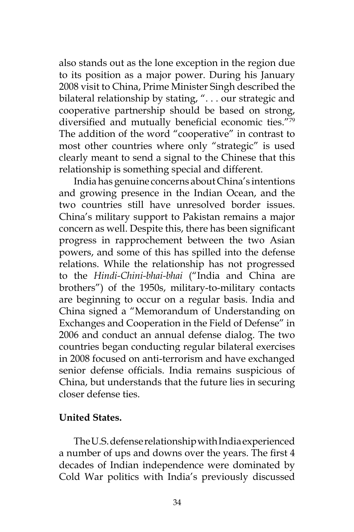also stands out as the lone exception in the region due to its position as a major power. During his January 2008 visit to China, Prime Minister Singh described the bilateral relationship by stating, ". . . our strategic and cooperative partnership should be based on strong, diversified and mutually beneficial economic ties."<sup>79</sup> The addition of the word "cooperative" in contrast to most other countries where only "strategic" is used clearly meant to send a signal to the Chinese that this relationship is something special and different.

India has genuine concerns about China's intentions and growing presence in the Indian Ocean, and the two countries still have unresolved border issues. China's military support to Pakistan remains a major concern as well. Despite this, there has been significant progress in rapprochement between the two Asian powers, and some of this has spilled into the defense relations. While the relationship has not progressed to the *Hindi-Chini-bhai-bhai* ("India and China are brothers") of the 1950s, military-to-military contacts are beginning to occur on a regular basis. India and China signed a "Memorandum of Understanding on Exchanges and Cooperation in the Field of Defense" in 2006 and conduct an annual defense dialog. The two countries began conducting regular bilateral exercises in 2008 focused on anti-terrorism and have exchanged senior defense officials. India remains suspicious of China, but understands that the future lies in securing closer defense ties.

#### **United States.**

The U.S. defense relationship with India experienced a number of ups and downs over the years. The first 4 decades of Indian independence were dominated by Cold War politics with India's previously discussed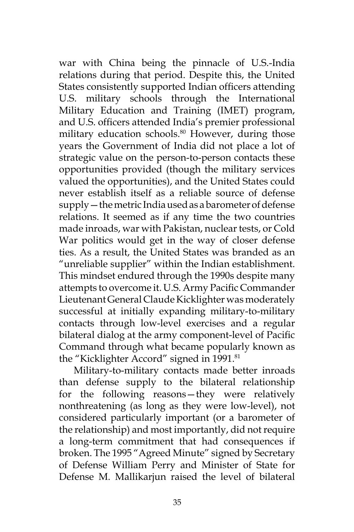war with China being the pinnacle of U.S.-India relations during that period. Despite this, the United States consistently supported Indian officers attending U.S. military schools through the International Military Education and Training (IMET) program, and U.S. officers attended India's premier professional military education schools.<sup>80</sup> However, during those years the Government of India did not place a lot of strategic value on the person-to-person contacts these opportunities provided (though the military services valued the opportunities), and the United States could never establish itself as a reliable source of defense supply—the metric India used as a barometer of defense relations. It seemed as if any time the two countries made inroads, war with Pakistan, nuclear tests, or Cold War politics would get in the way of closer defense ties. As a result, the United States was branded as an "unreliable supplier" within the Indian establishment. This mindset endured through the 1990s despite many attempts to overcome it. U.S. Army Pacific Commander Lieutenant General Claude Kicklighter was moderately successful at initially expanding military-to-military contacts through low-level exercises and a regular bilateral dialog at the army component-level of Pacific Command through what became popularly known as the "Kicklighter Accord" signed in 1991.<sup>81</sup>

Military-to-military contacts made better inroads than defense supply to the bilateral relationship for the following reasons—they were relatively nonthreatening (as long as they were low-level), not considered particularly important (or a barometer of the relationship) and most importantly, did not require a long-term commitment that had consequences if broken. The 1995 "Agreed Minute" signed by Secretary of Defense William Perry and Minister of State for Defense M. Mallikarjun raised the level of bilateral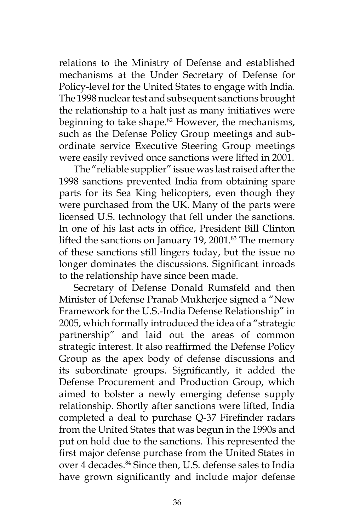relations to the Ministry of Defense and established mechanisms at the Under Secretary of Defense for Policy-level for the United States to engage with India. The 1998 nuclear test and subsequent sanctions brought the relationship to a halt just as many initiatives were beginning to take shape.<sup>82</sup> However, the mechanisms, such as the Defense Policy Group meetings and subordinate service Executive Steering Group meetings were easily revived once sanctions were lifted in 2001.

The "reliable supplier" issue was last raised after the 1998 sanctions prevented India from obtaining spare parts for its Sea King helicopters, even though they were purchased from the UK. Many of the parts were licensed U.S. technology that fell under the sanctions. In one of his last acts in office, President Bill Clinton lifted the sanctions on January 19, 2001.<sup>83</sup> The memory of these sanctions still lingers today, but the issue no longer dominates the discussions. Significant inroads to the relationship have since been made.

Secretary of Defense Donald Rumsfeld and then Minister of Defense Pranab Mukherjee signed a "New Framework for the U.S.-India Defense Relationship" in 2005, which formally introduced the idea of a "strategic partnership" and laid out the areas of common strategic interest. It also reaffirmed the Defense Policy Group as the apex body of defense discussions and its subordinate groups. Significantly, it added the Defense Procurement and Production Group, which aimed to bolster a newly emerging defense supply relationship. Shortly after sanctions were lifted, India completed a deal to purchase Q-37 Firefinder radars from the United States that was begun in the 1990s and put on hold due to the sanctions. This represented the first major defense purchase from the United States in over 4 decades.<sup>84</sup> Since then, U.S. defense sales to India have grown significantly and include major defense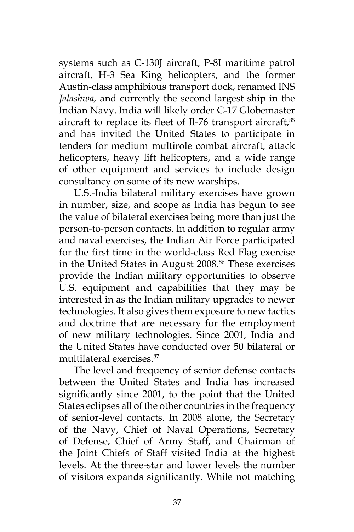systems such as C-130J aircraft, P-8I maritime patrol aircraft, H-3 Sea King helicopters, and the former Austin-class amphibious transport dock, renamed INS *Jalashwa,* and currently the second largest ship in the Indian Navy. India will likely order C-17 Globemaster aircraft to replace its fleet of Il-76 transport aircraft,<sup>85</sup> and has invited the United States to participate in tenders for medium multirole combat aircraft, attack helicopters, heavy lift helicopters, and a wide range of other equipment and services to include design consultancy on some of its new warships.

U.S.-India bilateral military exercises have grown in number, size, and scope as India has begun to see the value of bilateral exercises being more than just the person-to-person contacts. In addition to regular army and naval exercises, the Indian Air Force participated for the first time in the world-class Red Flag exercise in the United States in August 2008.<sup>86</sup> These exercises provide the Indian military opportunities to observe U.S. equipment and capabilities that they may be interested in as the Indian military upgrades to newer technologies. It also gives them exposure to new tactics and doctrine that are necessary for the employment of new military technologies. Since 2001, India and the United States have conducted over 50 bilateral or multilateral exercises.87

The level and frequency of senior defense contacts between the United States and India has increased significantly since 2001, to the point that the United States eclipses all of the other countries in the frequency of senior-level contacts. In 2008 alone, the Secretary of the Navy, Chief of Naval Operations, Secretary of Defense, Chief of Army Staff, and Chairman of the Joint Chiefs of Staff visited India at the highest levels. At the three-star and lower levels the number of visitors expands significantly. While not matching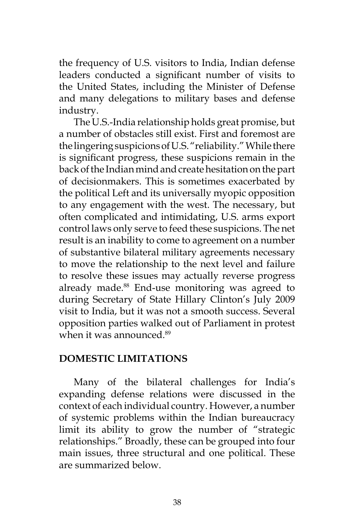the frequency of U.S. visitors to India, Indian defense leaders conducted a significant number of visits to the United States, including the Minister of Defense and many delegations to military bases and defense industry.

The U.S.-India relationship holds great promise, but a number of obstacles still exist. First and foremost are the lingering suspicions of U.S. "reliability." While there is significant progress, these suspicions remain in the back of the Indian mind and create hesitation on the part of decisionmakers. This is sometimes exacerbated by the political Left and its universally myopic opposition to any engagement with the west. The necessary, but often complicated and intimidating, U.S. arms export control laws only serve to feed these suspicions. The net result is an inability to come to agreement on a number of substantive bilateral military agreements necessary to move the relationship to the next level and failure to resolve these issues may actually reverse progress already made.<sup>88</sup> End-use monitoring was agreed to during Secretary of State Hillary Clinton's July 2009 visit to India, but it was not a smooth success. Several opposition parties walked out of Parliament in protest when it was announced.<sup>89</sup>

#### **DOMESTIC LIMITATIONS**

Many of the bilateral challenges for India's expanding defense relations were discussed in the context of each individual country. However, a number of systemic problems within the Indian bureaucracy limit its ability to grow the number of "strategic relationships." Broadly, these can be grouped into four main issues, three structural and one political. These are summarized below.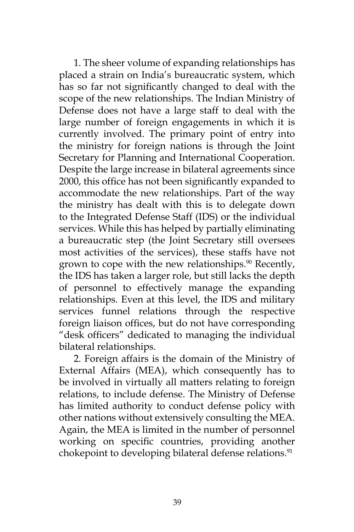1. The sheer volume of expanding relationships has placed a strain on India's bureaucratic system, which has so far not significantly changed to deal with the scope of the new relationships. The Indian Ministry of Defense does not have a large staff to deal with the large number of foreign engagements in which it is currently involved. The primary point of entry into the ministry for foreign nations is through the Joint Secretary for Planning and International Cooperation. Despite the large increase in bilateral agreements since 2000, this office has not been significantly expanded to accommodate the new relationships. Part of the way the ministry has dealt with this is to delegate down to the Integrated Defense Staff (IDS) or the individual services. While this has helped by partially eliminating a bureaucratic step (the Joint Secretary still oversees most activities of the services), these staffs have not grown to cope with the new relationships. $90$  Recently, the IDS has taken a larger role, but still lacks the depth of personnel to effectively manage the expanding relationships. Even at this level, the IDS and military services funnel relations through the respective foreign liaison offices, but do not have corresponding "desk officers" dedicated to managing the individual bilateral relationships.

2. Foreign affairs is the domain of the Ministry of External Affairs (MEA), which consequently has to be involved in virtually all matters relating to foreign relations, to include defense. The Ministry of Defense has limited authority to conduct defense policy with other nations without extensively consulting the MEA. Again, the MEA is limited in the number of personnel working on specific countries, providing another chokepoint to developing bilateral defense relations.<sup>91</sup>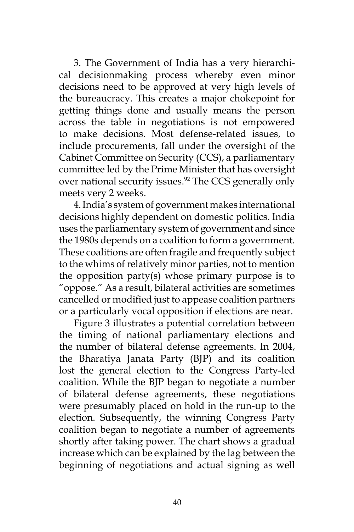3. The Government of India has a very hierarchical decisionmaking process whereby even minor decisions need to be approved at very high levels of the bureaucracy. This creates a major chokepoint for getting things done and usually means the person across the table in negotiations is not empowered to make decisions. Most defense-related issues, to include procurements, fall under the oversight of the Cabinet Committee on Security (CCS), a parliamentary committee led by the Prime Minister that has oversight over national security issues.<sup>92</sup> The CCS generally only meets very 2 weeks.

4. India's system of government makes international decisions highly dependent on domestic politics. India uses the parliamentary system of government and since the 1980s depends on a coalition to form a government. These coalitions are often fragile and frequently subject to the whims of relatively minor parties, not to mention the opposition party(s) whose primary purpose is to "oppose." As a result, bilateral activities are sometimes cancelled or modified just to appease coalition partners or a particularly vocal opposition if elections are near.

Figure 3 illustrates a potential correlation between the timing of national parliamentary elections and the number of bilateral defense agreements. In 2004, the Bharatiya Janata Party (BJP) and its coalition lost the general election to the Congress Party-led coalition. While the BJP began to negotiate a number of bilateral defense agreements, these negotiations were presumably placed on hold in the run-up to the election. Subsequently, the winning Congress Party coalition began to negotiate a number of agreements shortly after taking power. The chart shows a gradual increase which can be explained by the lag between the beginning of negotiations and actual signing as well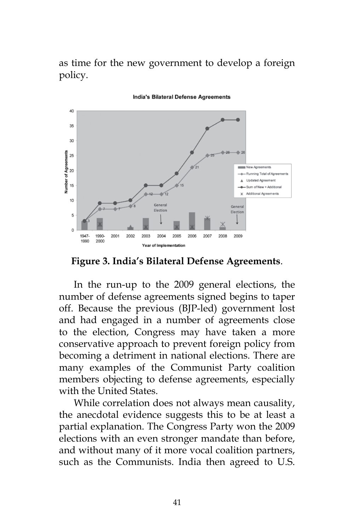as time for the new government to develop a foreign policy.



India's Bilateral Defense Agreements

**Figure 3. India's Bilateral Defense Agreements**.

In the run-up to the 2009 general elections, the number of defense agreements signed begins to taper off. Because the previous (BJP-led) government lost and had engaged in a number of agreements close to the election, Congress may have taken a more conservative approach to prevent foreign policy from becoming a detriment in national elections. There are many examples of the Communist Party coalition members objecting to defense agreements, especially with the United States.

While correlation does not always mean causality, the anecdotal evidence suggests this to be at least a partial explanation. The Congress Party won the 2009 elections with an even stronger mandate than before, and without many of it more vocal coalition partners, such as the Communists. India then agreed to U.S.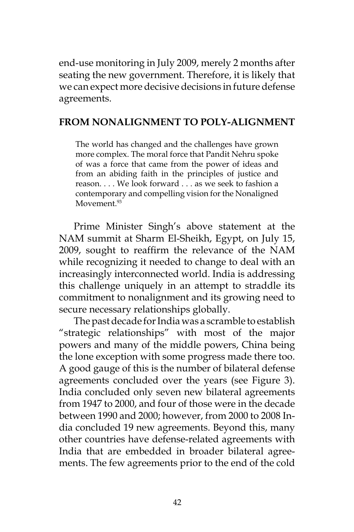end-use monitoring in July 2009, merely 2 months after seating the new government. Therefore, it is likely that we can expect more decisive decisions in future defense agreements.

#### **FROM NONALIGNMENT TO POLY-ALIGNMENT**

The world has changed and the challenges have grown more complex. The moral force that Pandit Nehru spoke of was a force that came from the power of ideas and from an abiding faith in the principles of justice and reason. . . . We look forward . . . as we seek to fashion a contemporary and compelling vision for the Nonaligned Movement.<sup>93</sup>

Prime Minister Singh's above statement at the NAM summit at Sharm El-Sheikh, Egypt, on July 15, 2009, sought to reaffirm the relevance of the NAM while recognizing it needed to change to deal with an increasingly interconnected world. India is addressing this challenge uniquely in an attempt to straddle its commitment to nonalignment and its growing need to secure necessary relationships globally.

The past decade for India was a scramble to establish "strategic relationships" with most of the major powers and many of the middle powers, China being the lone exception with some progress made there too. A good gauge of this is the number of bilateral defense agreements concluded over the years (see Figure 3). India concluded only seven new bilateral agreements from 1947 to 2000, and four of those were in the decade between 1990 and 2000; however, from 2000 to 2008 India concluded 19 new agreements. Beyond this, many other countries have defense-related agreements with India that are embedded in broader bilateral agreements. The few agreements prior to the end of the cold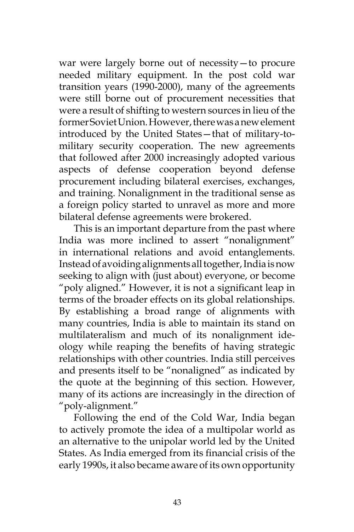war were largely borne out of necessity—to procure needed military equipment. In the post cold war transition years (1990-2000), many of the agreements were still borne out of procurement necessities that were a result of shifting to western sources in lieu of the former Soviet Union. However, there was a new element introduced by the United States—that of military-tomilitary security cooperation. The new agreements that followed after 2000 increasingly adopted various aspects of defense cooperation beyond defense procurement including bilateral exercises, exchanges, and training. Nonalignment in the traditional sense as a foreign policy started to unravel as more and more bilateral defense agreements were brokered.

This is an important departure from the past where India was more inclined to assert "nonalignment" in international relations and avoid entanglements. Instead of avoiding alignments all together, India is now seeking to align with (just about) everyone, or become "poly aligned." However, it is not a significant leap in terms of the broader effects on its global relationships. By establishing a broad range of alignments with many countries, India is able to maintain its stand on multilateralism and much of its nonalignment ideology while reaping the benefits of having strategic relationships with other countries. India still perceives and presents itself to be "nonaligned" as indicated by the quote at the beginning of this section. However, many of its actions are increasingly in the direction of "poly-alignment."

Following the end of the Cold War, India began to actively promote the idea of a multipolar world as an alternative to the unipolar world led by the United States. As India emerged from its financial crisis of the early 1990s, it also became aware of its own opportunity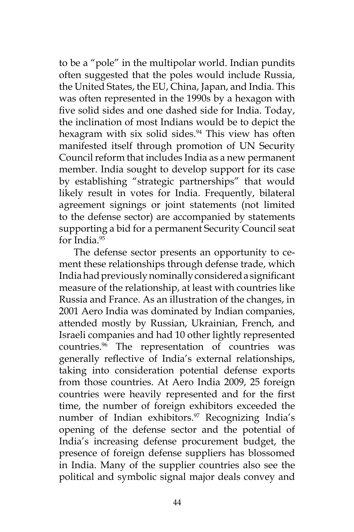to be a "pole" in the multipolar world. Indian pundits often suggested that the poles would include Russia, the United States, the EU, China, Japan, and India. This was often represented in the 1990s by a hexagon with five solid sides and one dashed side for India. Today, the inclination of most Indians would be to depict the hexagram with six solid sides.<sup>94</sup> This view has often manifested itself through promotion of UN Security Council reform that includes India as a new permanent member. India sought to develop support for its case by establishing "strategic partnerships" that would likely result in votes for India. Frequently, bilateral agreement signings or joint statements (not limited to the defense sector) are accompanied by statements supporting a bid for a permanent Security Council seat for India.95

The defense sector presents an opportunity to cement these relationships through defense trade, which India had previously nominally considered a significant measure of the relationship, at least with countries like Russia and France. As an illustration of the changes, in 2001 Aero India was dominated by Indian companies, attended mostly by Russian, Ukrainian, French, and Israeli companies and had 10 other lightly represented countries.96 The representation of countries was generally reflective of India's external relationships, taking into consideration potential defense exports from those countries. At Aero India 2009, 25 foreign countries were heavily represented and for the first time, the number of foreign exhibitors exceeded the number of Indian exhibitors.<sup>97</sup> Recognizing India's opening of the defense sector and the potential of India's increasing defense procurement budget, the presence of foreign defense suppliers has blossomed in India. Many of the supplier countries also see the political and symbolic signal major deals convey and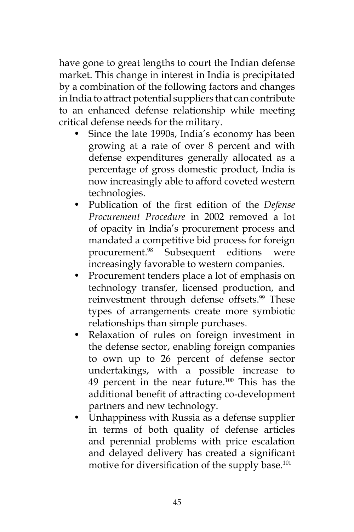have gone to great lengths to court the Indian defense market. This change in interest in India is precipitated by a combination of the following factors and changes in India to attract potential suppliers that can contribute to an enhanced defense relationship while meeting critical defense needs for the military.

- Since the late 1990s, India's economy has been growing at a rate of over 8 percent and with defense expenditures generally allocated as a percentage of gross domestic product, India is now increasingly able to afford coveted western technologies.
- Publication of the first edition of the *Defense Procurement Procedure* in 2002 removed a lot of opacity in India's procurement process and mandated a competitive bid process for foreign procurement.98 Subsequent editions were increasingly favorable to western companies.
- Procurement tenders place a lot of emphasis on technology transfer, licensed production, and reinvestment through defense offsets.<sup>99</sup> These types of arrangements create more symbiotic relationships than simple purchases.
- Relaxation of rules on foreign investment in the defense sector, enabling foreign companies to own up to 26 percent of defense sector undertakings, with a possible increase to 49 percent in the near future.100 This has the additional benefit of attracting co-development partners and new technology.
- Unhappiness with Russia as a defense supplier in terms of both quality of defense articles and perennial problems with price escalation and delayed delivery has created a significant motive for diversification of the supply base.<sup>101</sup>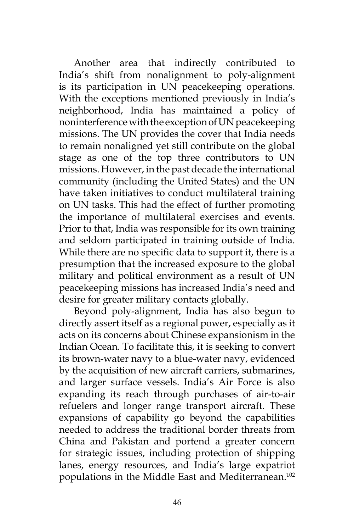Another area that indirectly contributed to India's shift from nonalignment to poly-alignment is its participation in UN peacekeeping operations. With the exceptions mentioned previously in India's neighborhood, India has maintained a policy of noninterference with the exception of UN peacekeeping missions. The UN provides the cover that India needs to remain nonaligned yet still contribute on the global stage as one of the top three contributors to UN missions. However, in the past decade the international community (including the United States) and the UN have taken initiatives to conduct multilateral training on UN tasks. This had the effect of further promoting the importance of multilateral exercises and events. Prior to that, India was responsible for its own training and seldom participated in training outside of India. While there are no specific data to support it, there is a presumption that the increased exposure to the global military and political environment as a result of UN peacekeeping missions has increased India's need and desire for greater military contacts globally.

Beyond poly-alignment, India has also begun to directly assert itself as a regional power, especially as it acts on its concerns about Chinese expansionism in the Indian Ocean. To facilitate this, it is seeking to convert its brown-water navy to a blue-water navy, evidenced by the acquisition of new aircraft carriers, submarines, and larger surface vessels. India's Air Force is also expanding its reach through purchases of air-to-air refuelers and longer range transport aircraft. These expansions of capability go beyond the capabilities needed to address the traditional border threats from China and Pakistan and portend a greater concern for strategic issues, including protection of shipping lanes, energy resources, and India's large expatriot populations in the Middle East and Mediterranean.102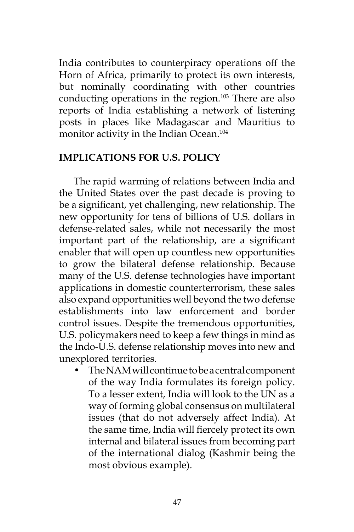India contributes to counterpiracy operations off the Horn of Africa, primarily to protect its own interests, but nominally coordinating with other countries conducting operations in the region.103 There are also reports of India establishing a network of listening posts in places like Madagascar and Mauritius to monitor activity in the Indian Ocean.<sup>104</sup>

#### **IMPLICATIONS FOR U.S. POLICY**

The rapid warming of relations between India and the United States over the past decade is proving to be a significant, yet challenging, new relationship. The new opportunity for tens of billions of U.S. dollars in defense-related sales, while not necessarily the most important part of the relationship, are a significant enabler that will open up countless new opportunities to grow the bilateral defense relationship. Because many of the U.S. defense technologies have important applications in domestic counterterrorism, these sales also expand opportunities well beyond the two defense establishments into law enforcement and border control issues. Despite the tremendous opportunities, U.S. policymakers need to keep a few things in mind as the Indo-U.S. defense relationship moves into new and unexplored territories.

• The NAM will continue to be a central component of the way India formulates its foreign policy. To a lesser extent, India will look to the UN as a way of forming global consensus on multilateral issues (that do not adversely affect India). At the same time, India will fiercely protect its own internal and bilateral issues from becoming part of the international dialog (Kashmir being the most obvious example).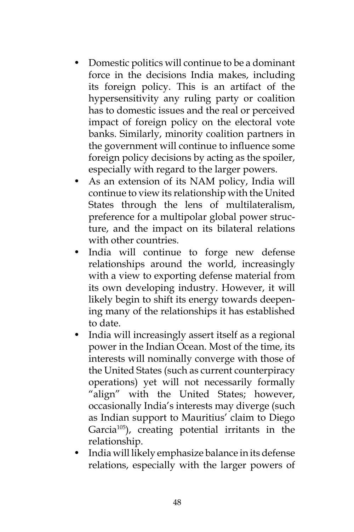- Domestic politics will continue to be a dominant force in the decisions India makes, including its foreign policy. This is an artifact of the hypersensitivity any ruling party or coalition has to domestic issues and the real or perceived impact of foreign policy on the electoral vote banks. Similarly, minority coalition partners in the government will continue to influence some foreign policy decisions by acting as the spoiler, especially with regard to the larger powers.
- As an extension of its NAM policy, India will continue to view its relationship with the United States through the lens of multilateralism, preference for a multipolar global power structure, and the impact on its bilateral relations with other countries.
- India will continue to forge new defense relationships around the world, increasingly with a view to exporting defense material from its own developing industry. However, it will likely begin to shift its energy towards deepening many of the relationships it has established to date.
- India will increasingly assert itself as a regional power in the Indian Ocean. Most of the time, its interests will nominally converge with those of the United States (such as current counterpiracy operations) yet will not necessarily formally "align" with the United States; however, occasionally India's interests may diverge (such as Indian support to Mauritius' claim to Diego Garcia<sup>105</sup>), creating potential irritants in the relationship.
- India will likely emphasize balance in its defense relations, especially with the larger powers of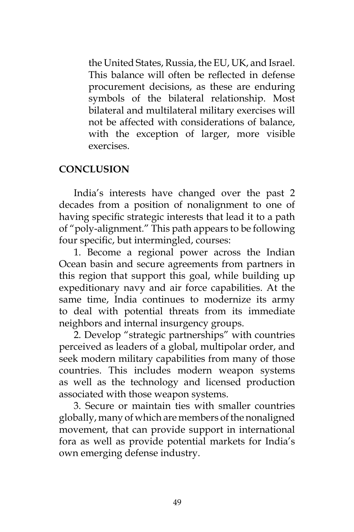the United States, Russia, the EU, UK, and Israel. This balance will often be reflected in defense procurement decisions, as these are enduring symbols of the bilateral relationship. Most bilateral and multilateral military exercises will not be affected with considerations of balance, with the exception of larger, more visible exercises.

#### **CONCLUSION**

India's interests have changed over the past 2 decades from a position of nonalignment to one of having specific strategic interests that lead it to a path of "poly-alignment." This path appears to be following four specific, but intermingled, courses:

1. Become a regional power across the Indian Ocean basin and secure agreements from partners in this region that support this goal, while building up expeditionary navy and air force capabilities. At the same time, India continues to modernize its army to deal with potential threats from its immediate neighbors and internal insurgency groups.

2. Develop "strategic partnerships" with countries perceived as leaders of a global, multipolar order, and seek modern military capabilities from many of those countries. This includes modern weapon systems as well as the technology and licensed production associated with those weapon systems.

3. Secure or maintain ties with smaller countries globally, many of which are members of the nonaligned movement, that can provide support in international fora as well as provide potential markets for India's own emerging defense industry.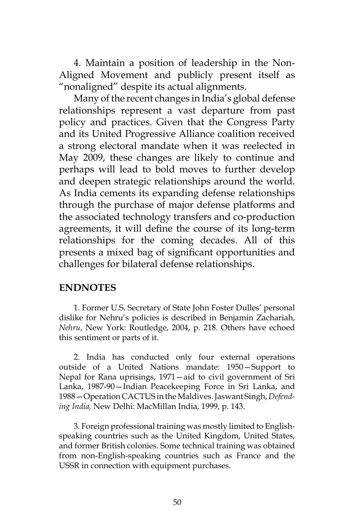4. Maintain a position of leadership in the Non-Aligned Movement and publicly present itself as "nonaligned" despite its actual alignments.

Many of the recent changes in India's global defense relationships represent a vast departure from past policy and practices. Given that the Congress Party and its United Progressive Alliance coalition received a strong electoral mandate when it was reelected in May 2009, these changes are likely to continue and perhaps will lead to bold moves to further develop and deepen strategic relationships around the world. As India cements its expanding defense relationships through the purchase of major defense platforms and the associated technology transfers and co-production agreements, it will define the course of its long-term relationships for the coming decades. All of this presents a mixed bag of significant opportunities and challenges for bilateral defense relationships.

#### **ENDNOTES**

1. Former U.S. Secretary of State John Foster Dulles' personal dislike for Nehru's policies is described in Benjamin Zachariah, *Nehru*, New York: Routledge, 2004, p. 218. Others have echoed this sentiment or parts of it.

2. India has conducted only four external operations outside of a United Nations mandate: 1950—Support to Nepal for Rana uprisings, 1971—aid to civil government of Sri Lanka, 1987-90—Indian Peacekeeping Force in Sri Lanka, and 1988—Operation CACTUS in the Maldives. Jaswant Singh, *Defending India,* New Delhi: MacMillan India, 1999, p. 143.

3. Foreign professional training was mostly limited to Englishspeaking countries such as the United Kingdom, United States, and former British colonies. Some technical training was obtained from non-English-speaking countries such as France and the USSR in connection with equipment purchases.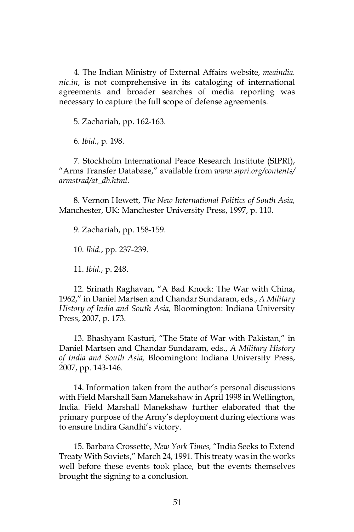4. The Indian Ministry of External Affairs website, *meaindia. nic.in*, is not comprehensive in its cataloging of international agreements and broader searches of media reporting was necessary to capture the full scope of defense agreements.

5. Zachariah, pp. 162-163.

6. *Ibid.*, p. 198.

7. Stockholm International Peace Research Institute (SIPRI), "Arms Transfer Database," available from *www.sipri.org/contents/ armstrad/at\_db.html*.

8. Vernon Hewett, *The New International Politics of South Asia,*  Manchester, UK: Manchester University Press, 1997, p. 110.

9. Zachariah, pp. 158-159.

10. *Ibid.*, pp. 237-239.

11. *Ibid.*, p. 248.

12. Srinath Raghavan, "A Bad Knock: The War with China, 1962," in Daniel Martsen and Chandar Sundaram, eds., *A Military History of India and South Asia,* Bloomington: Indiana University Press, 2007, p. 173.

13. Bhashyam Kasturi, "The State of War with Pakistan," in Daniel Martsen and Chandar Sundaram, eds., *A Military History of India and South Asia,* Bloomington: Indiana University Press, 2007, pp. 143-146.

14. Information taken from the author's personal discussions with Field Marshall Sam Manekshaw in April 1998 in Wellington, India. Field Marshall Manekshaw further elaborated that the primary purpose of the Army's deployment during elections was to ensure Indira Gandhi's victory.

15. Barbara Crossette, *New York Times,* "India Seeks to Extend Treaty With Soviets," March 24, 1991. This treaty was in the works well before these events took place, but the events themselves brought the signing to a conclusion.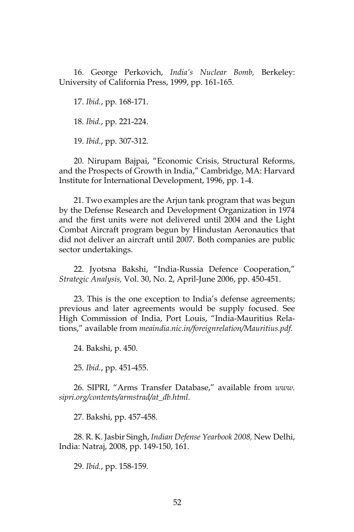16. George Perkovich, *India's Nuclear Bomb,* Berkeley: University of California Press, 1999, pp. 161-165.

17. *Ibid.*, pp. 168-171.

18. *Ibid.*, pp. 221-224.

19. *Ibid.*, pp. 307-312.

20. Nirupam Bajpai, "Economic Crisis, Structural Reforms, and the Prospects of Growth in India," Cambridge, MA: Harvard Institute for International Development, 1996, pp. 1-4.

21. Two examples are the Arjun tank program that was begun by the Defense Research and Development Organization in 1974 and the first units were not delivered until 2004 and the Light Combat Aircraft program begun by Hindustan Aeronautics that did not deliver an aircraft until 2007. Both companies are public sector undertakings.

22. Jyotsna Bakshi, "India-Russia Defence Cooperation," *Strategic Analysis,* Vol. 30, No. 2, April-June 2006, pp. 450-451.

23. This is the one exception to India's defense agreements; previous and later agreements would be supply focused. See High Commission of India, Port Louis, "India-Mauritius Relations," available from *meaindia.nic.in/foreignrelation/Mauritius.pdf*.

24. Bakshi, p. 450.

25. *Ibid.*, pp. 451-455.

26. SIPRI, "Arms Transfer Database," available from *www. sipri.org/contents/armstrad/at\_db.html.*

27. Bakshi, pp. 457-458.

28. R. K. Jasbir Singh, *Indian Defense Yearbook 2008,* New Delhi, India: Natraj, 2008, pp. 149-150, 161.

29. *Ibid.*, pp. 158-159.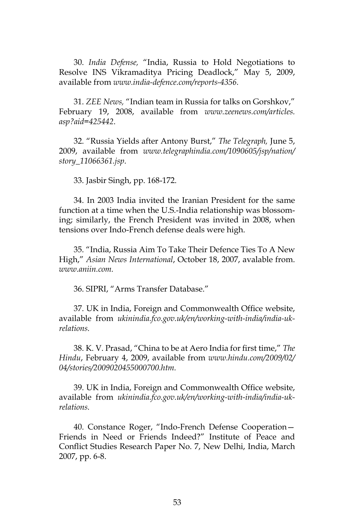30. *India Defense,* "India, Russia to Hold Negotiations to Resolve INS Vikramaditya Pricing Deadlock," May 5, 2009, available from *www.india-defence.com/reports-4356.*

31. *ZEE News,* "Indian team in Russia for talks on Gorshkov," February 19, 2008, available from *www.zeenews.com/articles. asp?aid=425442*.

32. "Russia Yields after Antony Burst," *The Telegraph,* June 5, 2009, available from *www.telegraphindia.com/1090605/jsp/nation/ story\_11066361.jsp*.

33. Jasbir Singh, pp. 168-172.

34. In 2003 India invited the Iranian President for the same function at a time when the U.S.-India relationship was blossoming; similarly, the French President was invited in 2008, when tensions over Indo-French defense deals were high.

35. "India, Russia Aim To Take Their Defence Ties To A New High," *Asian News International*, October 18, 2007, avalable from. *www.aniin.com.*

36. SIPRI, "Arms Transfer Database."

37. UK in India, Foreign and Commonwealth Office website, available from *ukinindia.fco.gov.uk/en/working-with-india/india-ukrelations.*

38. K. V. Prasad, "China to be at Aero India for first time," *The Hindu*, February 4, 2009, available from *www.hindu.com/2009/02/ 04/stories/2009020455000700.htm.*

39. UK in India, Foreign and Commonwealth Office website, available from *ukinindia.fco.gov.uk/en/working-with-india/india-ukrelations.*

40. Constance Roger, "Indo-French Defense Cooperation— Friends in Need or Friends Indeed?" Institute of Peace and Conflict Studies Research Paper No. 7, New Delhi, India, March 2007, pp. 6-8.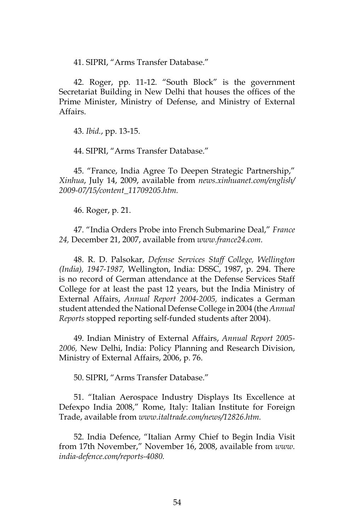41. SIPRI, "Arms Transfer Database."

42. Roger, pp. 11-12. "South Block" is the government Secretariat Building in New Delhi that houses the offices of the Prime Minister, Ministry of Defense, and Ministry of External Affairs.

43. *Ibid.*, pp. 13-15.

44. SIPRI, "Arms Transfer Database."

45. "France, India Agree To Deepen Strategic Partnership," *Xinhua*, July 14, 2009, available from *news.xinhuanet.com/english/ 2009-07/15/content\_11709205.htm.*

46. Roger, p. 21.

47. "India Orders Probe into French Submarine Deal," *France 24,* December 21, 2007, available from *www.france24.com.*

48. R. D. Palsokar, *Defense Services Staff College, Wellington (India), 1947-1987,* Wellington, India: DSSC, 1987, p. 294. There is no record of German attendance at the Defense Services Staff College for at least the past 12 years, but the India Ministry of External Affairs, *Annual Report 2004-2005,* indicates a German student attended the National Defense College in 2004 (the *Annual Reports* stopped reporting self-funded students after 2004).

49. Indian Ministry of External Affairs, *Annual Report 2005- 2006,* New Delhi, India: Policy Planning and Research Division, Ministry of External Affairs, 2006, p. 76.

50. SIPRI, "Arms Transfer Database."

51. "Italian Aerospace Industry Displays Its Excellence at Defexpo India 2008," Rome, Italy: Italian Institute for Foreign Trade, available from *www.italtrade.com/news/12826.htm.*

52. India Defence, "Italian Army Chief to Begin India Visit from 17th November," November 16, 2008, available from *www. india-defence.com/reports-4080.*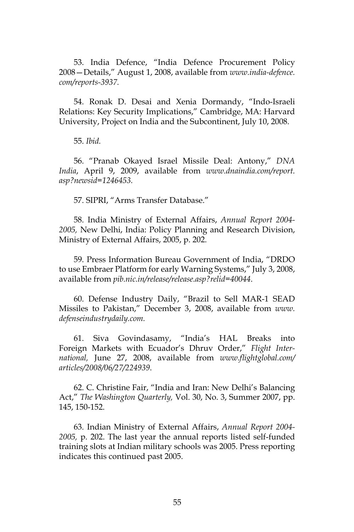53. India Defence, "India Defence Procurement Policy 2008—Details," August 1, 2008, available from *www.india-defence. com/reports-3937.*

54. Ronak D. Desai and Xenia Dormandy, "Indo-Israeli Relations: Key Security Implications," Cambridge, MA: Harvard University, Project on India and the Subcontinent, July 10, 2008.

55. *Ibid.*

56. "Pranab Okayed Israel Missile Deal: Antony," *DNA India*, April 9, 2009, available from *www.dnaindia.com/report. asp?newsid=1246453.*

57. SIPRI, "Arms Transfer Database."

58. India Ministry of External Affairs, *Annual Report 2004- 2005,* New Delhi, India: Policy Planning and Research Division, Ministry of External Affairs, 2005, p. 202.

59. Press Information Bureau Government of India, "DRDO to use Embraer Platform for early Warning Systems," July 3, 2008, available from *pib.nic.in/release/release.asp?relid=40044*.

60. Defense Industry Daily, "Brazil to Sell MAR-1 SEAD Missiles to Pakistan," December 3, 2008, available from *www. defenseindustrydaily.com.*

61. Siva Govindasamy, "India's HAL Breaks into Foreign Markets with Ecuador's Dhruv Order," *Flight International,* June 27, 2008, available from *www.flightglobal.com/ articles/2008/06/27/224939*.

62. C. Christine Fair, "India and Iran: New Delhi's Balancing Act," *The Washington Quarterly,* Vol. 30, No. 3, Summer 2007, pp. 145, 150-152.

63. Indian Ministry of External Affairs, *Annual Report 2004- 2005,* p. 202. The last year the annual reports listed self-funded training slots at Indian military schools was 2005. Press reporting indicates this continued past 2005.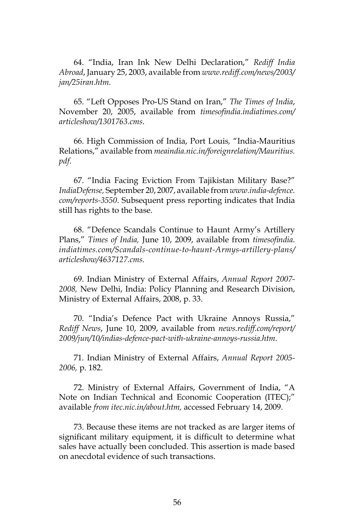64. "India, Iran Ink New Delhi Declaration," *Rediff India Abroad*, January 25, 2003, available from *www.rediff.com/news/2003/ jan/25iran.htm.*

65. "Left Opposes Pro-US Stand on Iran," *The Times of India*, November 20, 2005, available from *timesofindia.indiatimes.com/ articleshow/1301763.cms*.

66. High Commission of India, Port Louis*,* "India-Mauritius Relations," available from *meaindia.nic.in/foreignrelation/Mauritius. pdf*.

67. "India Facing Eviction From Tajikistan Military Base?" *IndiaDefense,* September 20, 2007, available from *www.india-defence. com/reports-3550*. Subsequent press reporting indicates that India still has rights to the base.

68. "Defence Scandals Continue to Haunt Army's Artillery Plans," *Times of India,* June 10, 2009, available from *timesofindia. indiatimes.com/Scandals-continue-to-haunt-Armys-artillery-plans/ articleshow/4637127.cms.*

69. Indian Ministry of External Affairs, *Annual Report 2007- 2008,* New Delhi, India: Policy Planning and Research Division, Ministry of External Affairs, 2008, p. 33.

70. "India's Defence Pact with Ukraine Annoys Russia," *Rediff News*, June 10, 2009, available from *news.rediff.com/report/ 2009/jun/10/indias-defence-pact-with-ukraine-annoys-russia.htm*.

71. Indian Ministry of External Affairs, *Annual Report 2005- 2006,* p. 182.

72. Ministry of External Affairs, Government of India, "A Note on Indian Technical and Economic Cooperation (ITEC);" available *from itec.nic.in/about.htm,* accessed February 14, 2009.

73. Because these items are not tracked as are larger items of significant military equipment, it is difficult to determine what sales have actually been concluded. This assertion is made based on anecdotal evidence of such transactions.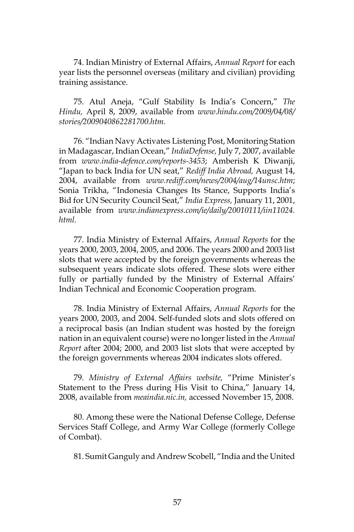74. Indian Ministry of External Affairs, *Annual Report* for each year lists the personnel overseas (military and civilian) providing training assistance.

75. Atul Aneja, "Gulf Stability Is India's Concern," *The Hindu,* April 8, 2009, available from *www.hindu.com/2009/04/08/ stories/2009040862281700.htm.*

76. "Indian Navy Activates Listening Post, Monitoring Station in Madagascar, Indian Ocean," *IndiaDefense,* July 7, 2007, available from *www.india-defence.com/reports-3453*; Amberish K Diwanji, "Japan to back India for UN seat," *Rediff India Abroad,* August 14, 2004, available from *www.rediff.com/news/2004/aug/14unsc.htm*; Sonia Trikha, "Indonesia Changes Its Stance, Supports India's Bid for UN Security Council Seat," *India Express,* January 11, 2001, available from *www.indianexpress.com/ie/daily/20010111/iin11024. html.*

77. India Ministry of External Affairs, *Annual Reports* for the years 2000, 2003, 2004, 2005, and 2006. The years 2000 and 2003 list slots that were accepted by the foreign governments whereas the subsequent years indicate slots offered. These slots were either fully or partially funded by the Ministry of External Affairs' Indian Technical and Economic Cooperation program.

78. India Ministry of External Affairs, *Annual Reports* for the years 2000, 2003, and 2004. Self-funded slots and slots offered on a reciprocal basis (an Indian student was hosted by the foreign nation in an equivalent course) were no longer listed in the *Annual Report* after 2004; 2000, and 2003 list slots that were accepted by the foreign governments whereas 2004 indicates slots offered.

79. *Ministry of External Affairs website,* "Prime Minister's Statement to the Press during His Visit to China," January 14, 2008, available from *meaindia.nic.in,* accessed November 15, 2008.

80. Among these were the National Defense College, Defense Services Staff College, and Army War College (formerly College of Combat).

81. Sumit Ganguly and Andrew Scobell, "India and the United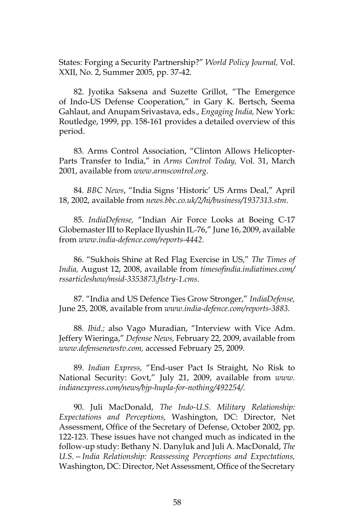States: Forging a Security Partnership?" *World Policy Journal,* Vol. XXII, No. 2, Summer 2005, pp. 37-42.

82. Jyotika Saksena and Suzette Grillot, "The Emergence of Indo-US Defense Cooperation," in Gary K. Bertsch, Seema Gahlaut, and Anupam Srivastava, eds., *Engaging India,* New York: Routledge, 1999, pp. 158-161 provides a detailed overview of this period.

83. Arms Control Association, "Clinton Allows Helicopter-Parts Transfer to India," in *Arms Control Today,* Vol. 31, March 2001, available from *www.armscontrol.org*.

84. *BBC News*, "India Signs 'Historic' US Arms Deal," April 18, 2002, available from *news.bbc.co.uk/2/hi/business/1937313.stm*.

85. *IndiaDefense,* "Indian Air Force Looks at Boeing C-17 Globemaster III to Replace Ilyushin IL-76," June 16, 2009, available from *www.india-defence.com/reports-4442.*

86. "Sukhois Shine at Red Flag Exercise in US," *The Times of India,* August 12, 2008, available from *timesofindia.indiatimes.com/ rssarticleshow/msid-3353873,flstry-1.cms*.

87. "India and US Defence Ties Grow Stronger," *IndiaDefense,* June 25, 2008, available from *www.india-defence.com/reports-3883.*

88. *Ibid.;* also Vago Muradian, "Interview with Vice Adm. Jeffery Wieringa," *Defense News,* February 22, 2009, available from *www.defensenewstv.com,* accessed February 25, 2009.

89. *Indian Express,* "End-user Pact Is Straight, No Risk to National Security: Govt," July 21, 2009, available from *www. indianexpress.com/news/bjp-hupla-for-nothing/492254/.*

90. Juli MacDonald, *The Indo-U.S. Military Relationship: Expectations and Perceptions,* Washington, DC: Director, Net Assessment, Office of the Secretary of Defense, October 2002, pp. 122-123. These issues have not changed much as indicated in the follow-up study: Bethany N. Danyluk and Juli A. MacDonald, *The U.S.—India Relationship: Reassessing Perceptions and Expectations,* Washington, DC: Director, Net Assessment, Office of the Secretary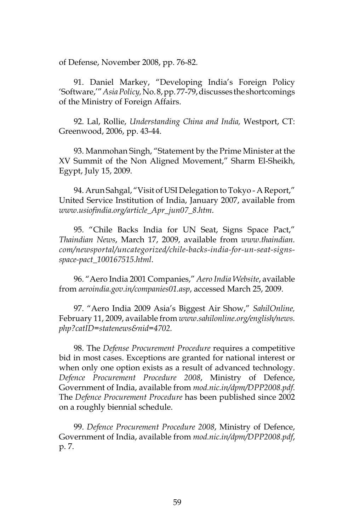of Defense, November 2008, pp. 76-82.

91. Daniel Markey, "Developing India's Foreign Policy 'Software,'" *Asia Policy,* No. 8, pp. 77-79, discusses the shortcomings of the Ministry of Foreign Affairs.

92. Lal, Rollie, *Understanding China and India,* Westport, CT: Greenwood, 2006, pp. 43-44.

93. Manmohan Singh, "Statement by the Prime Minister at the XV Summit of the Non Aligned Movement," Sharm El-Sheikh, Egypt, July 15, 2009.

94. Arun Sahgal, "Visit of USI Delegation to Tokyo - A Report," United Service Institution of India, January 2007, available from *www.usiofindia.org/article\_Apr\_jun07\_8.htm*.

95. "Chile Backs India for UN Seat, Signs Space Pact," *Thaindian News*, March 17, 2009, available from *www.thaindian. com/newsportal/uncategorized/chile-backs-india-for-un-seat-signsspace-pact\_100167515.html*.

96. "Aero India 2001 Companies," *Aero India Website*, available from *aeroindia.gov.in/companies01.asp*, accessed March 25, 2009.

97. "Aero India 2009 Asia's Biggest Air Show," *SahilOnline,* February 11, 2009, available from *www.sahilonline.org/english/news. php?catID=statenews&nid=4702.*

98. The *Defense Procurement Procedure* requires a competitive bid in most cases. Exceptions are granted for national interest or when only one option exists as a result of advanced technology. *Defence Procurement Procedure 2008*, Ministry of Defence, Government of India, available from *mod.nic.in/dpm/DPP2008.pdf*. The *Defence Procurement Procedure* has been published since 2002 on a roughly biennial schedule.

99. *Defence Procurement Procedure 2008*, Ministry of Defence, Government of India, available from *mod.nic.in/dpm/DPP2008.pdf*, p. 7.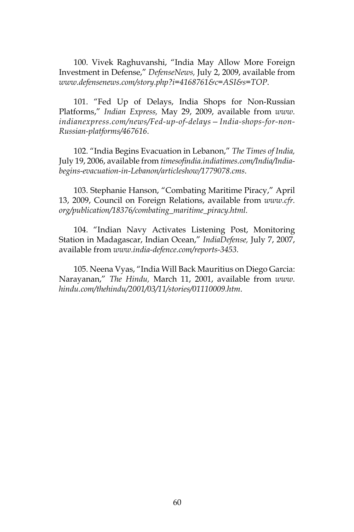100. Vivek Raghuvanshi, "India May Allow More Foreign Investment in Defense," *DefenseNews,* July 2, 2009, available from *www.defensenews.com/story.php?i=4168761&c=ASI&s=TOP*.

101. "Fed Up of Delays, India Shops for Non-Russian Platforms," *Indian Express,* May 29, 2009, available from *www. indianexpress.com/news/Fed-up-of-delays—India-shops-for-non-Russian-platforms/467616*.

102. "India Begins Evacuation in Lebanon," *The Times of India,*  July 19, 2006, available from *timesofindia.indiatimes.com/India/Indiabegins-evacuation-in-Lebanon/articleshow/1779078.cms*.

103. Stephanie Hanson, "Combating Maritime Piracy," April 13, 2009, Council on Foreign Relations, available from *www.cfr. org/publication/18376/combating\_maritime\_piracy.html.*

104. "Indian Navy Activates Listening Post, Monitoring Station in Madagascar, Indian Ocean," *IndiaDefense,* July 7, 2007, available from *www.india-defence.com/reports-3453.*

105. Neena Vyas, "India Will Back Mauritius on Diego Garcia: Narayanan," *The Hindu,* March 11, 2001, available from *www. hindu.com/thehindu/2001/03/11/stories/01110009.htm*.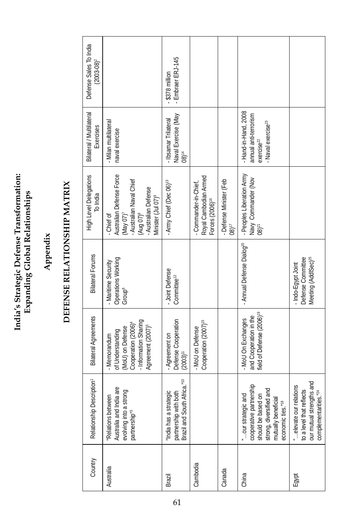India's Strategic Defense Transformation:<br>Expanding Global Relationships **India's Strategic Defense Transformation: Expanding Global Relationships**

## **Appendix**

# DEFENSE RELATIONSHIP MATRIX **DEFENSE RELATIONSHIP MATRIX**

| Country   | Relationship Description <sup>1</sup>                                                                                                                 | <b>Bilateral Agreements</b>                                                                                                                       | <b>Bilateral Forums</b>                                                    | High Level Delegations<br>To India                                                                                                                                             | Bilateral / Multilateral<br>Exercises                                                                   | Defense Sales To India<br>$(2003 - 08)^2$ |
|-----------|-------------------------------------------------------------------------------------------------------------------------------------------------------|---------------------------------------------------------------------------------------------------------------------------------------------------|----------------------------------------------------------------------------|--------------------------------------------------------------------------------------------------------------------------------------------------------------------------------|---------------------------------------------------------------------------------------------------------|-------------------------------------------|
| Australia | ndia are<br>strong<br>Relations between<br>evolving into a<br>Australia and I<br>partnership <sup>"3</sup>                                            | - Information Sharing<br>Agreement (2007) <sup>5</sup><br>Cooperation (2006) <sup>4</sup><br>(MoU) on Defense<br>of Understanding<br>- Memorandum | Operations Working<br>- Maritime Security<br>Group <sup>6</sup>            | Australian Defense Force<br>- Australian Naval Chief<br>(Aug 07) <sup>8</sup><br>- Australian Defense<br>Minister (Jul 07) <sup>9</sup><br>(May 07) <sup>7</sup><br>- Chief of | - Milan multilateral<br>naval exercise                                                                  |                                           |
| Brazil    | partnership with both<br>Brazil and South Africa." <sup>10</sup><br>rategic<br>India has a str                                                        | Defense Cooperation<br>- Agreement on<br>$(2003)^{11}$                                                                                            | - Joint Defense<br>Committee <sup>12</sup>                                 | - Army Chief (Dec 06) <sup>13</sup>                                                                                                                                            | Naval Exercise (May<br>08) <sup>14</sup><br><b>Ibsamar Trilateral</b>                                   | Embraer ERJ-145<br>\$378 millior          |
| Cambodia  |                                                                                                                                                       | Cooperation (2007) <sup>15</sup><br>- MoU on Defense                                                                                              |                                                                            | Royal Cambodian Armed<br>- Commander-in-Chief,<br>Forces (2006) <sup>16</sup>                                                                                                  |                                                                                                         |                                           |
| Canada    |                                                                                                                                                       |                                                                                                                                                   |                                                                            | - Defense Minister (Feb<br>$08$ <sup>17</sup>                                                                                                                                  |                                                                                                         |                                           |
| China     | cooperative partnership<br>should be based on<br>strong, diversified and<br>mutually beneficial<br>our strategic and<br>economic ties." <sup>18</sup> | field of Defense (2006) <sup>19</sup><br>and Cooperation in the<br>- MoU On Exchanges                                                             | - Annual Defense Dialog <sup>20</sup>                                      | - Peoples Liberation Army<br>Navy Commander (Nov<br>$08)^{21}$                                                                                                                 | - Hand-in-Hand, 2008<br>annual anti-terrorism<br>Naval exercise <sup>23</sup><br>exercise <sup>22</sup> |                                           |
| Egypt     | to a level that reflects<br>our mutual strengths and<br>relations<br>ities." <sup>24</sup><br>complementari<br>elevate our                            |                                                                                                                                                   | Meeting (AddISec) <sup>25</sup><br>Defense Committee<br>- Indo-Egypt Joint |                                                                                                                                                                                |                                                                                                         |                                           |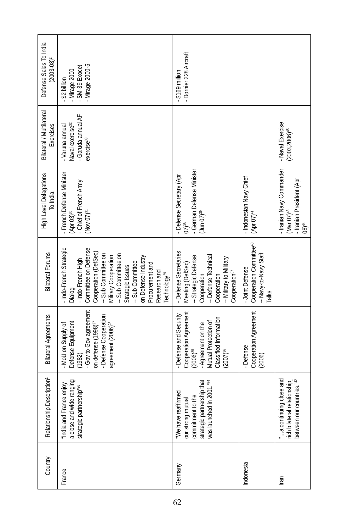| Defense Sales To India<br>$2003 - 08$ <sup>2</sup> | Mirage 2000-5<br>SM-39 Exocet<br>- Mirage 2000<br>- \$2 billion                                                                                                                                                                                                                                             | - Dornier 228 Aircraft<br>\$169 million                                                                                                                                         |                                                                                                 |                                                                                                     |
|----------------------------------------------------|-------------------------------------------------------------------------------------------------------------------------------------------------------------------------------------------------------------------------------------------------------------------------------------------------------------|---------------------------------------------------------------------------------------------------------------------------------------------------------------------------------|-------------------------------------------------------------------------------------------------|-----------------------------------------------------------------------------------------------------|
| Bilateral / Multilateral<br>Exercises              | - Garuda annual AF<br>Naval exercise <sup>32</sup><br>- Varuna annual<br>exercise <sup>33</sup>                                                                                                                                                                                                             |                                                                                                                                                                                 |                                                                                                 | - Naval Exercise<br>$(2003, 2006)^{45}$                                                             |
| <b>High Level Delegations</b><br>To India          | - French Defense Minister<br>(Apr 03) <sup>30</sup><br>- Chief of French Army<br>(Nov $07$ ) <sup>31</sup>                                                                                                                                                                                                  | - German Defense Minister<br>- Defense Secretary (Apr<br>$($ Jun 07) $39$<br>$07)$ <sup>38</sup>                                                                                | - Indonesian Navy Chief<br>$(Apr 07)^{41}$                                                      | - Iranian Navy Commander<br>(Mar 07) <sup>43</sup><br>- Iranian President (Apr<br>08) <sup>44</sup> |
| <b>Bilateral Forums</b>                            | - Indo-French Strategic<br>Committee on Defense<br>Cooperation (DefSec)<br>-- Sub Committee on<br>-- Sub Committee on<br>Military Cooperation<br>on Defense Industry<br>- Indo-French High<br>-- Sub Committee<br>Procurement and<br>Strategic Issues<br>Research and<br>Technology <sup>29</sup><br>Dialog | - Defense Secretaries<br>-- Defense Technical<br>-- Strategic Defense<br>-- Military to Military<br>Meeting (DefSec)<br>Cooperation <sup>37</sup><br>Cooperation<br>Cooperation | Cooperation Committee <sup>40</sup><br>-- Navy-to-Navy Staff<br>- Joint Defense<br><b>Talks</b> |                                                                                                     |
| <b>Bilateral Agreements</b>                        | - Gov to Gov agreement<br>- Defense Cooperation<br>Defense Equipment<br>on defense (1998) <sup>27</sup><br>agreement (2006) <sup>28</sup><br>MoU on Supply of<br>(1982)                                                                                                                                     | Cooperation Agreement<br>Defense and Security<br>Classified Information<br>Mutual Protection of<br>Agreement on the<br>$(2006)^{35}$<br>$(2007)^{36}$                           | Cooperation Agreement<br>- Defense<br>(2006)                                                    |                                                                                                     |
| Relationship Description <sup>1</sup>              | a close and wide ranging<br>India and France enjoy<br>strategic partnership <sup>"26</sup>                                                                                                                                                                                                                  | commitment to the<br>strategic partnership that<br>was launched in 2001."34<br>"We have reaffirmed<br>our strong mutual                                                         |                                                                                                 | a continuing close and<br>rich bilateral relationship_<br>between our countries."42                 |
| Country                                            | France                                                                                                                                                                                                                                                                                                      | Germany                                                                                                                                                                         | Indonesia                                                                                       | lran                                                                                                |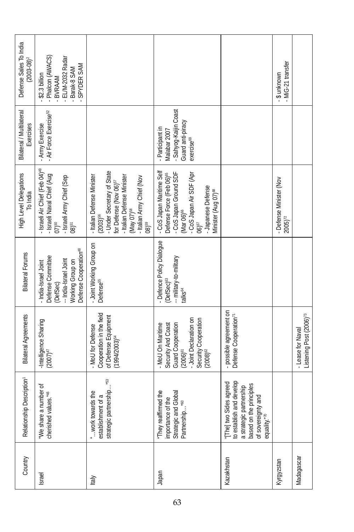| Country    | Relationship Description <sup>1</sup>                                                                                                             | <b>Bilateral Agreements</b>                                                                                                                              | <b>Bilateral Forums</b>                                                                                                                 | High Level Delegations<br>To India                                                                                                                                                                                                 | Bilateral / Multilateral<br>Exercises                                                                   | Defense Sales To India<br>$(2003 - 08)^2$                                                        |
|------------|---------------------------------------------------------------------------------------------------------------------------------------------------|----------------------------------------------------------------------------------------------------------------------------------------------------------|-----------------------------------------------------------------------------------------------------------------------------------------|------------------------------------------------------------------------------------------------------------------------------------------------------------------------------------------------------------------------------------|---------------------------------------------------------------------------------------------------------|--------------------------------------------------------------------------------------------------|
| Israel     | We share a number of<br>cherished values. <sup>"46</sup>                                                                                          | -Intelligence Sharing<br>$(2007)^{47}$                                                                                                                   | Defense Cooperation <sup>48</sup><br>Defense Committee<br>-- India-Israel Joint<br>Working Group on<br>- India-Israel Joint<br>(DefSec) | - Israeli Air Chief (Feb 04) <sup>49</sup><br>- Israeli Naval Chief (Aug<br>- Israeli Army Chief (Sep<br>07)50<br>$08$ ) <sup>51</sup>                                                                                             | Air Force Exercise <sup>52</sup><br>Army Exercise                                                       | - Phalcon (AWACS)<br>EL/M-2032 Radar<br>SPYDER SAM<br>Barak-8 SAM<br>$-$ \$2.3 billion<br>BVRAAM |
| Italy      | strategic partnership" <sup>53</sup><br>work towards the<br>establishment of a                                                                    | Cooperation in the field<br>of Defense Equipment<br>(1994/2003) <sup>54</sup><br>- MoU for Defense                                                       | - Joint Working Group on<br>Defense <sup>55</sup>                                                                                       | - Under Secretary of State<br>- Italian Defense Minister<br>- Italian Defense Minister<br>(May 07) <sup>ss</sup><br>- Italian Army Chief (Nov<br>for Defense (Nov 06) <sup>57</sup><br>$(2003)^{56}$<br>08159                      |                                                                                                         |                                                                                                  |
| Japan      | They reaffirmed the<br>Strategic and Global<br>e<br>H<br>Partnership"60<br>importance of t                                                        | Joint Declaration on<br>Security Cooperation<br>(2008) <sup>&amp;</sup><br>Guard Cooperation<br>- MoU On Maritime<br>Security And Coast<br>$(2006)^{61}$ | - Defence Policy Dialogue<br>-- military-to-military<br>(DefSec) <sup>63</sup><br>talks <sup>64</sup>                                   | - CoS Japan Maritime Self<br>- CoS Japan Ground SDF<br>- CoS Japan Air SDF (Apr<br>Defense Force (Feb 06) <sup>65</sup><br>- Japanese Defense<br>Minister (Aug 07) <sup>68</sup><br>(Mar 06) <sup>66</sup><br>$06$ ) <sup>67</sup> | Sahyog-Kaijin Coast<br>Guard anti-piracy<br>- Participant in<br>Vlalabar 2007<br>exercise <sup>69</sup> |                                                                                                  |
| Kazakhstan | to establish and develop<br>[The] two Sides agreed<br>based on the principles<br>a strategic partnership<br>and<br>of sovereignty<br>equality."70 | - possible agreement on<br>Defense Cooperation <sup>71</sup>                                                                                             |                                                                                                                                         |                                                                                                                                                                                                                                    |                                                                                                         |                                                                                                  |
| Kyrgyzstan |                                                                                                                                                   |                                                                                                                                                          |                                                                                                                                         | - Defense Minister (Nov<br>$2005$ $\rm{^{72}}$                                                                                                                                                                                     |                                                                                                         | MiG-21 transfer<br>- \$ unknown                                                                  |
| Madagascar |                                                                                                                                                   | Listening Post (2006) <sup>73</sup><br>- Lease for Naval                                                                                                 |                                                                                                                                         |                                                                                                                                                                                                                                    |                                                                                                         |                                                                                                  |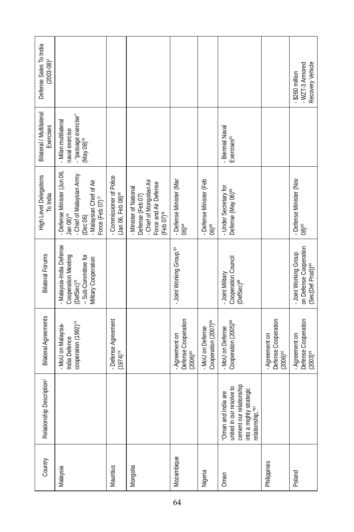| Defense Sales To India<br>$(2003 - 08)^2$ |                                                                                                                                                            |                                                            |                                                                                                                           |                                                        |                                                      |                                                                                                                         |                                                               | Recovery Vehicle<br>- WZT-3 Armored<br>$-$ \$260 million                         |
|-------------------------------------------|------------------------------------------------------------------------------------------------------------------------------------------------------------|------------------------------------------------------------|---------------------------------------------------------------------------------------------------------------------------|--------------------------------------------------------|------------------------------------------------------|-------------------------------------------------------------------------------------------------------------------------|---------------------------------------------------------------|----------------------------------------------------------------------------------|
| Bilateral / Multilateral<br>Exercises     | - "passage exercise"<br>- Milan multilateral<br>naval exercise<br>$(May 08)^{78}$                                                                          |                                                            |                                                                                                                           |                                                        |                                                      | - Biennial Naval<br>Exercises <sup>91</sup>                                                                             |                                                               |                                                                                  |
| High Level Delegations<br>To India        | - Defense Minister (Jun 06,<br>- Chief of Malaysian Army<br>- Malaysian Chief of Air<br>Force (Feb 07) <sup>77</sup><br>Jan $08$ <sup>76</sup><br>(Dec 06) | - Commissioner of Police<br>(Jan 06, Feb 08) <sup>80</sup> | Defense (Feb 07)<br>- Chief of Mongolian Air<br>Force and Air Defense<br>- Minister of National<br>(Feb 07) <sup>81</sup> | - Defense Minister (Mar<br>$06)^{84}$                  | - Defense Minister (Feb<br>$06$ <sup>86</sup>        | - Under Secretary for<br>Defense (May 06) <sup>90</sup>                                                                 |                                                               | - Defense Minister (Nov<br>08) <sup>95</sup>                                     |
| <b>Bilateral Forums</b>                   | - Malaysia-India Defense<br>Cooperation Meeting<br>-- Sub-Committee for<br>Military Cooperation<br>$(\text{DefSec})^{\pi_{\!\scriptscriptstyle\! S}}$      |                                                            |                                                                                                                           | - Joint Working Group. <sup>83</sup>                   |                                                      | Cooperation Council<br>- Joint Military<br>(DefSec) <sup>89</sup>                                                       |                                                               | on Defense Cooperation<br>- Joint Working Group<br>(Sec(Def Prod)) <sup>94</sup> |
| <b>Bilateral Agreements</b>               | cooperation (1992) <sup>74</sup><br>- MoU on Malaysia-<br>India Defence                                                                                    | - Defense Agreement<br>$(1974)^{79}$                       |                                                                                                                           | Defense Cooperation<br>- Agreement on<br>$(2006)^{82}$ | Cooperation (2007) <sup>85</sup><br>- MoU on Defense | Cooperation (2005) <sup>88</sup><br>- MoU on Defense                                                                    | Defense Cooperation<br>(2006) <sup>92</sup><br>- Agreement on | Defense Cooperation<br>(2003) <sup>93</sup><br>- Agreement on                    |
| Relationship Description <sup>1</sup>     |                                                                                                                                                            |                                                            |                                                                                                                           |                                                        |                                                      | cement our relationship<br>united in our resolve to<br>into a mighty strategic<br>Oman and India are<br>elationship,"87 |                                                               |                                                                                  |
| Country                                   | Malaysia                                                                                                                                                   | Mauritius                                                  | Mongolia                                                                                                                  | Mozambique                                             | Nigeria                                              | Oman                                                                                                                    | Philippines                                                   | Poland                                                                           |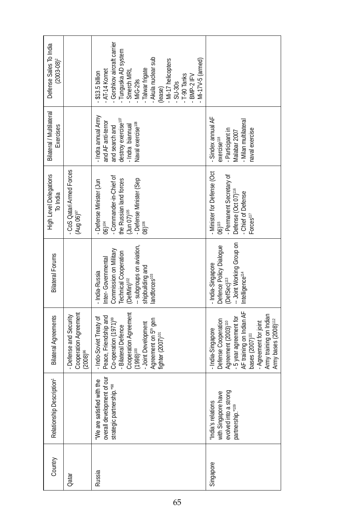| Defense Sales To India<br>$(2003 - 08)^2$ |                                                                  | Gorshkov aircraft carrier<br>Tunguska AD system<br>Smerch MRL<br>- Akula nuclear sub<br>(lease)<br>Mi-17 helicopters<br>Mi-17V-5 (armed)<br>Talwar frigate<br>AT-14 Kornet<br>\$13.5 billion<br>T-90 Tanks<br>BMP-2 IFV<br><b>MiG-29s</b><br>SU-30s |                                                                                                                                                                                                                                                        |
|-------------------------------------------|------------------------------------------------------------------|-----------------------------------------------------------------------------------------------------------------------------------------------------------------------------------------------------------------------------------------------------|--------------------------------------------------------------------------------------------------------------------------------------------------------------------------------------------------------------------------------------------------------|
| Bilateral / Multilateral<br>Exercises     |                                                                  | Indra annual Army<br>destroy exercise <sup>107</sup><br>and AF anti-terror<br>Naval exercise <sup>108</sup><br>Indra biannual<br>and search and                                                                                                     | - Sindex annual AF<br>Milan multilateral<br>naval exercise<br>- Participant in<br>Malabar 2007<br>exercise <sup>118</sup>                                                                                                                              |
| High Level Delegations<br>To India        | - CoS Qatari Armed Forces<br>(Aug 06) $^{97}$                    | - Commander-in-Chief of<br>- Defense Minister (Sep<br>08) <sup>106</sup><br>the Russian land forces<br>(Jun 07) <sup>105</sup><br>Defense Minister (Jun<br>$06)$ <sup>104</sup>                                                                     | - Minister for Defense (Oct<br>- Permanent Secretary of<br>Defense (Oct 07) <sup>116</sup><br>- Chief of Defense<br>Forces <sup>117</sup><br>$06)$ <sup>115</sup>                                                                                      |
| <b>Bilateral Forums</b>                   |                                                                  | -- subgroups on aviation,<br>Commission on Military<br><b>Technical Cooperation</b><br>Inter-Governmental<br>shipbuilding and<br>- India-Russia<br>landforces <sup>103</sup><br>(DefMin) <sup>102</sup>                                             | -- Joint Working Group on<br>Defence Policy Dialogue<br>- India-Singapore<br>Intelligence <sup>114</sup><br>(DefSec) <sup>113</sup>                                                                                                                    |
| <b>Bilateral Agreements</b>               | Cooperation Agreement<br>- Defense and Security<br>$(2008)^{96}$ | Cooperation Agreement<br>Peace, Friendship and<br>- Indo-Soviet Treaty of<br>Co-operation (1971) <sup>99</sup><br>- Bilateral Defence<br>Agreement on 5 <sup>th</sup> gen<br>fighter (2007) <sup>101</sup><br>Joint Development<br>$(1998)^{100}$   | - 5 year agreement for<br>AF training on Indian AF<br>Army training on Indian<br>Army bases (2008) <sup>112</sup><br>Defense Cooperation<br>Agreement (2003) <sup>110</sup><br>- Agreement for joint<br>India-Singapore<br>bases (2007) <sup>111</sup> |
| Description <sup>1</sup><br>Relationship  |                                                                  | overall development of our<br>We are satisfied with the<br>strategic partnership."98                                                                                                                                                                | with Singapore have<br>evolved into a strong<br>partnership." <sup>19</sup><br>ă<br>India's relation                                                                                                                                                   |
| Country                                   | Qatar                                                            | Russia                                                                                                                                                                                                                                              | Singapore                                                                                                                                                                                                                                              |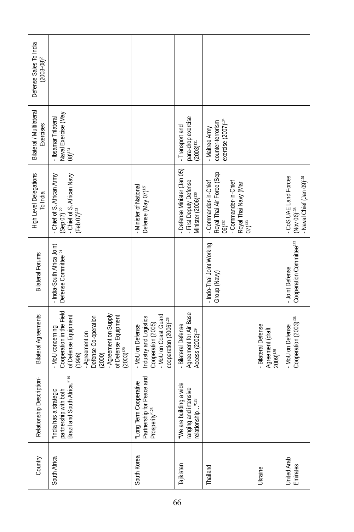| Defense Sales To India<br>$(2003 - 08)^2$ |                                                                                                                                                                                                       |                                                                                                                           |                                                                                       |                                                                                                                                                 |                                                                      |                                                                                           |
|-------------------------------------------|-------------------------------------------------------------------------------------------------------------------------------------------------------------------------------------------------------|---------------------------------------------------------------------------------------------------------------------------|---------------------------------------------------------------------------------------|-------------------------------------------------------------------------------------------------------------------------------------------------|----------------------------------------------------------------------|-------------------------------------------------------------------------------------------|
| Bilateral / Multilateral<br>Exercises     | Naval Exercise (May<br>- Ibsamar Trilateral<br>$08)^{124}$                                                                                                                                            |                                                                                                                           | para-drop exercise<br>- Transport and<br>$(2003)^{131}$                               | exercise (2007) <sup>134</sup><br>counter-terrorism<br>- Maitree Army                                                                           |                                                                      |                                                                                           |
| <b>High Level Delegations</b><br>To India | - Chief of S. African Army<br>(Sep 07) <sup>122</sup><br>Chief of S. African Navy<br>$(Feb 07)^{123}$                                                                                                 | - Minister of National<br>Defense (May 07) <sup>127</sup>                                                                 | Defense Minister (Jan 05)<br>- First Deputy Defense<br>Minister (2006) <sup>130</sup> | Royal Thai Air Force (Sep<br>06) <sup>132</sup><br>- Commander-in-Chief<br>- Commander-in-Chief<br>Royal Thai Navy (Mar<br>$07)$ <sup>133</sup> |                                                                      | - CoS UAE Land Forces<br>- Naval Chief (Jan 09) <sup>139</sup><br>(Nov 06) <sup>138</sup> |
| <b>Bilateral Forums</b>                   | - India-South Africa Joint<br>Defense Committee <sup>121</sup>                                                                                                                                        |                                                                                                                           |                                                                                       | - Indo-Thai Joint Working<br>Group (Navy)                                                                                                       |                                                                      | Cooperation Committee <sup>137</sup><br>- Joint Defense                                   |
| <b>Bilateral Agreements</b>               | Cooperation in the Field<br>- Agreement on Supply<br>of Defense Equipment<br>- Agreement on<br>Defense Co-operation<br>of Defense Equipment<br>- MoU concerning<br>$(2003)^{120}$<br>(1996)<br>(2000) | MoU on Coast Guard<br>Industry and Logistics<br>cooperation (2006) <sup>126</sup><br>Cooperation (2005)<br>MoU on Defense | Agreement for Air Base<br><b>Bilateral Defense</b><br>Access (2002) <sup>129</sup>    |                                                                                                                                                 | <b>Bilateral Defense</b><br>Agreement (draft<br>2009) <sup>135</sup> | Cooperation (2003) <sup>136</sup><br>- MoU on Defense                                     |
| Relationship Description <sup>1</sup>     | partnership with both<br>Brazil and South Africa." <sup>119</sup><br>"India has a strategic                                                                                                           | Peace and<br>"Long Term Cooperative<br>Partnership for<br>Prosperity" <sup>125</sup>                                      | "We are building a wide<br>ranging and intensive<br>relationship"128                  |                                                                                                                                                 |                                                                      |                                                                                           |
| Country                                   | South Africa                                                                                                                                                                                          | South Korea                                                                                                               | Tajikistan                                                                            | Thailand                                                                                                                                        | <b>Ukraine</b>                                                       | United Arab<br>Emirates                                                                   |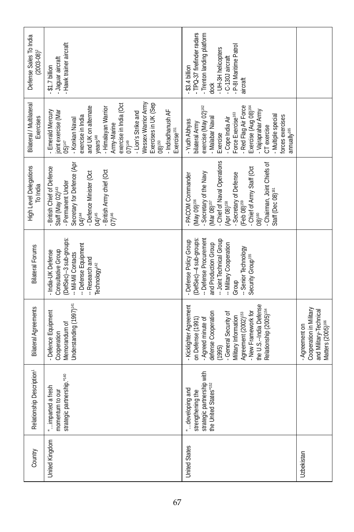| Defense Sales To India<br>$(2003 - 08)^2$ | Hawk trainer aircraft<br>-Jaguar aircraft<br>$$1.7$ billion                                                                                                                                                                                                                                                                                                                        | - TPQ-37 firefinder radars<br>- Trenton landing platform<br>P-81 Maritime Patrol<br>- UH-3H helicopters<br>C-130J aircraft<br>$-$ \$3.4 billion<br>aircraft<br>dock                                                                                                                                                          |                                                                                                      |
|-------------------------------------------|------------------------------------------------------------------------------------------------------------------------------------------------------------------------------------------------------------------------------------------------------------------------------------------------------------------------------------------------------------------------------------|------------------------------------------------------------------------------------------------------------------------------------------------------------------------------------------------------------------------------------------------------------------------------------------------------------------------------|------------------------------------------------------------------------------------------------------|
| Bilateral / Multilateral<br>Exercises     | Wessex Warrior Army<br>Exercises in UK (Sep<br>exercise in India (Oct<br>and UK on alternate<br>Himalayan Warrior<br>- Indradhanush AF<br>- Emerald Mercury<br>joint exercise (Mar<br>- Lion's Strike and<br>exercise in India<br>- Konkan Naval<br>Army-Marine<br>Exercise <sup>151</sup><br>years <sup>148</sup><br>$05)^{147}$<br>$07)$ <sup>149</sup><br>$08$ ) <sup>150</sup> | Red Flag Air Force<br>exercise (May 02) <sup>162</sup><br>Exercise (Aug 08) <sup>164</sup><br>Vajraprahar Army<br>Force Exercise <sup>163</sup><br>Multiple special<br>forces exercises<br>Malabar Naval<br>Cope India Air<br>- Yudh Abhyas<br>bilateral Army<br>CT exercise<br>annually <sup>165</sup><br>Exercise          |                                                                                                      |
| High Level Delegations<br>To India        | Secretary for Defence (Apr<br>- British Chief of Defence<br>- British Army chief (Oct<br>- Defence Minister (Oct<br>- Permanent Under<br>Staff (May 02) <sup>143</sup><br>04) <sup>144</sup><br>04) <sup>145</sup><br>07)146                                                                                                                                                       | - Chief of Naval Operations<br>- Chairman, Joint Chiefs of<br>- Chief of Army Staff (Oct<br>Secretary of the Navy<br>- Secretary of Defense<br>(Feb 08) <sup>159</sup><br>- PACOM Commander<br>Staff (Dec 08) <sup>161</sup><br>(May 09) <sup>156</sup><br>(Mar 08) <sup>157</sup><br>(Apr 08) <sup>158</sup><br>$081^{160}$ |                                                                                                      |
| <b>Bilateral Forums</b>                   | (DefSec)--3 sub-groups:<br>- Defense Equipment<br>- India-UK Defense<br>Consultative Group<br>-- Mil-Mil Contacts<br>-- Research and<br>Technology <sup>142</sup>                                                                                                                                                                                                                  | (DefSec)--4 sub-groups:<br>-- Defense Procurement<br>-- Joint Technical Group<br>- Defense Policy Group<br>and Production Group<br>-- Military Cooperation<br>-- Senior Technology<br>Security Group <sup>155</sup><br>Group                                                                                                 |                                                                                                      |
| <b>Bilateral Agreements</b>               | Understanding (1997) <sup>141</sup><br>- Defence Equipment<br>Memorandum of<br>Cooperation                                                                                                                                                                                                                                                                                         | the U.S.-India Defense<br>- Kicklighter Agreement<br>Relationship (2005) <sup>154</sup><br>- New Framework for<br>defense Cooperation<br>- General Security of<br>Agreement (2002) <sup>153</sup><br>Military Information<br>- Agreed minute of<br>on Defense (1991)<br>(1995)                                               | Cooperation in Military<br>and Military-Technical<br>Matters (2005) <sup>166</sup><br>- Agreement on |
| Relationship Description <sup>1</sup>     | strategic partnership."140<br>imparted a fresh<br>momentum to our                                                                                                                                                                                                                                                                                                                  | strategic partnership with<br>the United States" <sup>152</sup><br>developing and<br>strengthening the                                                                                                                                                                                                                       |                                                                                                      |
| Country                                   | United Kingdom                                                                                                                                                                                                                                                                                                                                                                     | United States                                                                                                                                                                                                                                                                                                                | Uzbekistan                                                                                           |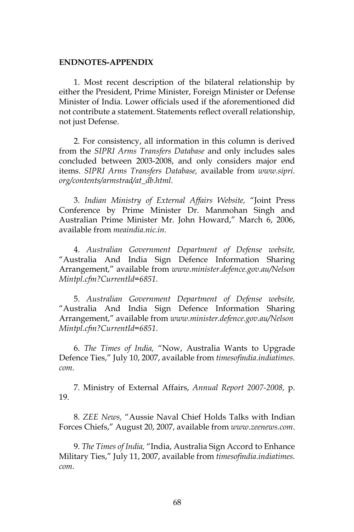## **ENDNOTES-APPENDIX**

1. Most recent description of the bilateral relationship by either the President, Prime Minister, Foreign Minister or Defense Minister of India. Lower officials used if the aforementioned did not contribute a statement. Statements reflect overall relationship, not just Defense.

2. For consistency, all information in this column is derived from the *SIPRI Arms Transfers Database* and only includes sales concluded between 2003-2008, and only considers major end items. *SIPRI Arms Transfers Database,* available from *www.sipri. org/contents/armstrad/at\_db.html.*

3. *Indian Ministry of External Affairs Website,* "Joint Press Conference by Prime Minister Dr. Manmohan Singh and Australian Prime Minister Mr. John Howard," March 6, 2006, available from *meaindia.nic.in.*

4. *Australian Government Department of Defense website,*  "Australia And India Sign Defence Information Sharing Arrangement," available from *www.minister.defence.gov.au/Nelson Mintpl.cfm?CurrentId=6851*.

5. *Australian Government Department of Defense website,*  "Australia And India Sign Defence Information Sharing Arrangement," available from *www.minister.defence.gov.au/Nelson Mintpl.cfm?CurrentId=6851*.

6. *The Times of India,* "Now, Australia Wants to Upgrade Defence Ties," July 10, 2007, available from *timesofindia.indiatimes. com*.

7. Ministry of External Affairs, *Annual Report 2007-2008,* p. 19.

8. *ZEE News,* "Aussie Naval Chief Holds Talks with Indian Forces Chiefs," August 20, 2007, available from *www.zeenews.com*.

9. *The Times of India,* "India, Australia Sign Accord to Enhance Military Ties," July 11, 2007, available from *timesofindia.indiatimes. com*.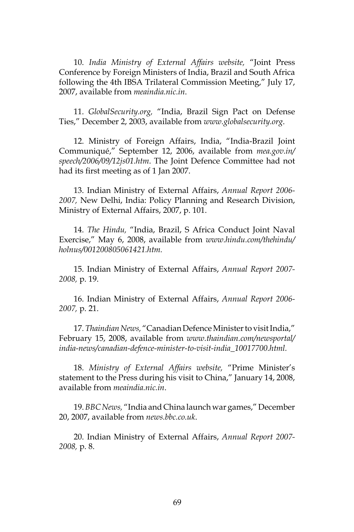10. *India Ministry of External Affairs website,* "Joint Press Conference by Foreign Ministers of India, Brazil and South Africa following the 4th IBSA Trilateral Commission Meeting," July 17, 2007, available from *meaindia.nic.in*.

11. *GlobalSecurity.org,* "India, Brazil Sign Pact on Defense Ties," December 2, 2003, available from *www.globalsecurity.org*.

12. Ministry of Foreign Affairs, India, "India-Brazil Joint Communiqué," September 12, 2006, available from *mea.gov.in/ speech/2006/09/12js01.htm*. The Joint Defence Committee had not had its first meeting as of 1 Jan 2007.

13. Indian Ministry of External Affairs, *Annual Report 2006- 2007,* New Delhi, India: Policy Planning and Research Division, Ministry of External Affairs, 2007, p. 101.

14. *The Hindu,* "India, Brazil, S Africa Conduct Joint Naval Exercise," May 6, 2008, available from *www.hindu.com/thehindu/ holnus/001200805061421.htm.*

15. Indian Ministry of External Affairs, *Annual Report 2007- 2008,* p. 19.

16. Indian Ministry of External Affairs, *Annual Report 2006- 2007,* p. 21.

17. *Thaindian News,* "Canadian Defence Minister to visit India," February 15, 2008, available from *www.thaindian.com/newsportal/ india-news/canadian-defence-minister-to-visit-india\_10017700.html.*

18. *Ministry of External Affairs website,* "Prime Minister's statement to the Press during his visit to China," January 14, 2008, available from *meaindia.nic.in*.

19. *BBC News,* "India and China launch war games," December 20, 2007, available from *news.bbc.co.uk*.

20. Indian Ministry of External Affairs, *Annual Report 2007- 2008,* p. 8.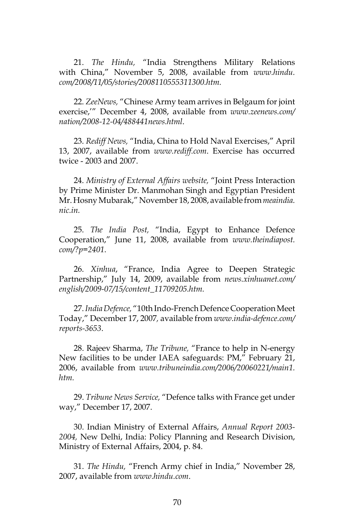21. *The Hindu,* "India Strengthens Military Relations with China," November 5, 2008, available from *www.hindu. com/2008/11/05/stories/2008110555311300.htm.*

22. *ZeeNews,* "Chinese Army team arrives in Belgaum for joint exercise,'" December 4, 2008, available from *www.zeenews.com/ nation/2008-12-04/488441news.html*.

23. *Rediff News,* "India, China to Hold Naval Exercises," April 13, 2007, available from *www.rediff.com*. Exercise has occurred twice - 2003 and 2007.

24. *Ministry of External Affairs website,* "Joint Press Interaction by Prime Minister Dr. Manmohan Singh and Egyptian President Mr. Hosny Mubarak," November 18, 2008, available from *meaindia. nic.in.*

25. *The India Post,* "India, Egypt to Enhance Defence Cooperation," June 11, 2008, available from *www.theindiapost. com/?p=2401*.

26. *Xinhua*, "France, India Agree to Deepen Strategic Partnership," July 14, 2009, available from *news.xinhuanet.com/ english/2009-07/15/content\_11709205.htm.*

27. *India Defence,* "10th Indo-French Defence Cooperation Meet Today," December 17, 2007*,* available from *www.india-defence.com/ reports-3653*.

28. Rajeev Sharma, *The Tribune,* "France to help in N-energy New facilities to be under IAEA safeguards: PM," February 21, 2006, available from *www.tribuneindia.com/2006/20060221/main1. htm.*

29. *Tribune News Service,* "Defence talks with France get under way," December 17, 2007.

30. Indian Ministry of External Affairs, *Annual Report 2003- 2004,* New Delhi, India: Policy Planning and Research Division, Ministry of External Affairs, 2004, p. 84.

31. *The Hindu,* "French Army chief in India," November 28, 2007, available from *www.hindu.com*.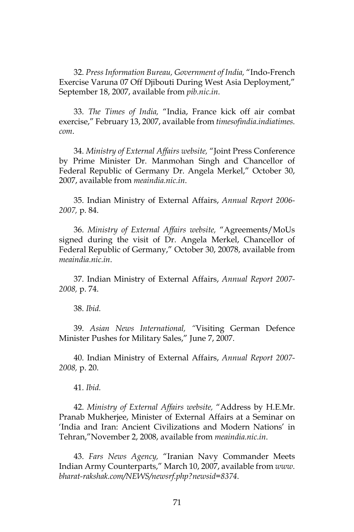32. *Press Information Bureau, Government of India,* "Indo-French Exercise Varuna 07 Off Djibouti During West Asia Deployment," September 18, 2007, available from *pib.nic.in.*

33. *The Times of India,* "India, France kick off air combat exercise," February 13, 2007, available from *timesofindia.indiatimes. com*.

34. *Ministry of External Affairs website,* "Joint Press Conference by Prime Minister Dr. Manmohan Singh and Chancellor of Federal Republic of Germany Dr. Angela Merkel," October 30, 2007, available from *meaindia.nic.in*.

35. Indian Ministry of External Affairs, *Annual Report 2006- 2007,* p. 84.

36. *Ministry of External Affairs website,* "Agreements/MoUs signed during the visit of Dr. Angela Merkel, Chancellor of Federal Republic of Germany," October 30, 20078, available from *meaindia.nic.in*.

37. Indian Ministry of External Affairs, *Annual Report 2007- 2008,* p. 74.

38. *Ibid.*

39. *Asian News International, "*Visiting German Defence Minister Pushes for Military Sales," June 7, 2007.

40. Indian Ministry of External Affairs, *Annual Report 2007- 2008,* p. 20.

41. *Ibid.*

42. *Ministry of External Affairs website,* "Address by H.E.Mr. Pranab Mukherjee, Minister of External Affairs at a Seminar on 'India and Iran: Ancient Civilizations and Modern Nations' in Tehran,"November 2, 2008, available from *meaindia.nic.in*.

43. *Fars News Agency,* "Iranian Navy Commander Meets Indian Army Counterparts," March 10, 2007, available from *www. bharat-rakshak.com/NEWS/newsrf.php?newsid=8374*.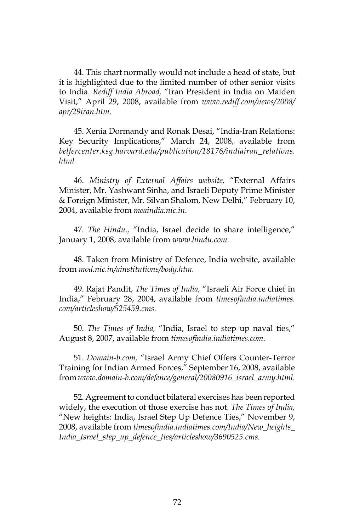44. This chart normally would not include a head of state, but it is highlighted due to the limited number of other senior visits to India. *Rediff India Abroad,* "Iran President in India on Maiden Visit," April 29, 2008, available from *www.rediff.com/news/2008/ apr/29iran.htm.*

45. Xenia Dormandy and Ronak Desai, "India-Iran Relations: Key Security Implications," March 24, 2008, available from *belfercenter.ksg.harvard.edu/publication/18176/indiairan\_relations. html*

46. *Ministry of External Affairs website,* "External Affairs Minister, Mr. Yashwant Sinha, and Israeli Deputy Prime Minister & Foreign Minister, Mr. Silvan Shalom, New Delhi," February 10, 2004, available from *meaindia.nic.in*.

47. *The Hindu.,* "India, Israel decide to share intelligence," January 1, 2008, available from *www.hindu.com.*

48. Taken from Ministry of Defence, India website, available from *mod.nic.in/ainstitutions/body.htm.*

49. Rajat Pandit, *The Times of India,* "Israeli Air Force chief in India," February 28, 2004, available from *timesofindia.indiatimes. com/articleshow/525459.cms.*

50. *The Times of India,* "India, Israel to step up naval ties," August 8, 2007, available from *timesofindia.indiatimes.com.*

51. *Domain-b.com,* "Israel Army Chief Offers Counter-Terror Training for Indian Armed Forces," September 16, 2008, available from *www.domain-b.com/defence/general/20080916\_israel\_army.html.* 

52. Agreement to conduct bilateral exercises has been reported widely, the execution of those exercise has not. *The Times of India,*  "New heights: India, Israel Step Up Defence Ties," November 9, 2008, available from *timesofindia.indiatimes.com/India/New\_heights\_ India\_Israel\_step\_up\_defence\_ties/articleshow/3690525.cms.*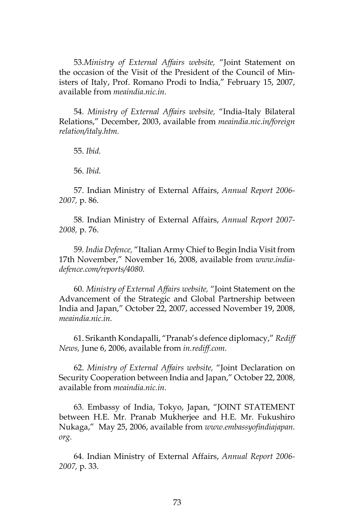53.*Ministry of External Affairs website,* "Joint Statement on the occasion of the Visit of the President of the Council of Ministers of Italy, Prof. Romano Prodi to India," February 15, 2007, available from *meaindia.nic.in.*

54. *Ministry of External Affairs website,* "India-Italy Bilateral Relations," December, 2003, available from *meaindia.nic.in/foreign relation/italy.htm.*

55. *Ibid.*

56. *Ibid.*

57. Indian Ministry of External Affairs, *Annual Report 2006- 2007,* p. 86.

58. Indian Ministry of External Affairs, *Annual Report 2007- 2008,* p. 76.

59. *India Defence,* "Italian Army Chief to Begin India Visit from 17th November," November 16, 2008, available from *www.indiadefence.com/reports/4080.*

60. *Ministry of External Affairs website,* "Joint Statement on the Advancement of the Strategic and Global Partnership between India and Japan," October 22, 2007, accessed November 19, 2008, *meaindia.nic.in.*

61. Srikanth Kondapalli, "Pranab's defence diplomacy," *Rediff News,* June 6, 2006, available from *in.rediff.com.*

62. *Ministry of External Affairs website,* "Joint Declaration on Security Cooperation between India and Japan," October 22, 2008, available from *meaindia.nic.in.*

63. Embassy of India, Tokyo, Japan, "JOINT STATEMENT between H.E. Mr. Pranab Mukherjee and H.E. Mr. Fukushiro Nukaga," May 25, 2006, available from *www.embassyofindiajapan. org.*

64. Indian Ministry of External Affairs, *Annual Report 2006- 2007,* p. 33.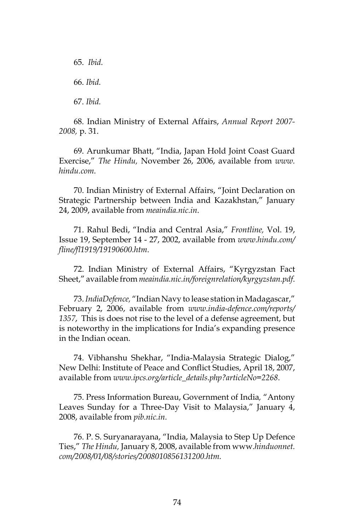65. *Ibid.* 66. *Ibid.* 67. *Ibid.*

68. Indian Ministry of External Affairs, *Annual Report 2007- 2008,* p. 31.

69. Arunkumar Bhatt, "India, Japan Hold Joint Coast Guard Exercise," *The Hindu,* November 26, 2006, available from *www. hindu.com.*

70. Indian Ministry of External Affairs, "Joint Declaration on Strategic Partnership between India and Kazakhstan," January 24, 2009, available from *meaindia.nic.in*.

71. Rahul Bedi, "India and Central Asia," *Frontline,* Vol. 19, Issue 19, September 14 - 27, 2002, available from *www.hindu.com/ fline/fl1919/19190600.htm*.

72. Indian Ministry of External Affairs, "Kyrgyzstan Fact Sheet," available from *meaindia.nic.in/foreignrelation/kyrgyzstan.pdf*.

73. *IndiaDefence,* "Indian Navy to lease station in Madagascar," February 2, 2006, available from *www.india-defence.com/reports/ 1357*, This is does not rise to the level of a defense agreement, but is noteworthy in the implications for India's expanding presence in the Indian ocean.

74. Vibhanshu Shekhar, "India-Malaysia Strategic Dialog," New Delhi: Institute of Peace and Conflict Studies, April 18, 2007, available from *www.ipcs.org/article\_details.php?articleNo=2268*.

75. Press Information Bureau, Government of India*,* "Antony Leaves Sunday for a Three-Day Visit to Malaysia," January 4, 2008, available from *pib.nic.in.*

76. P. S. Suryanarayana, "India, Malaysia to Step Up Defence Ties," *The Hindu,* January 8, 2008, available from www*.hinduonnet. com/2008/01/08/stories/2008010856131200.htm.*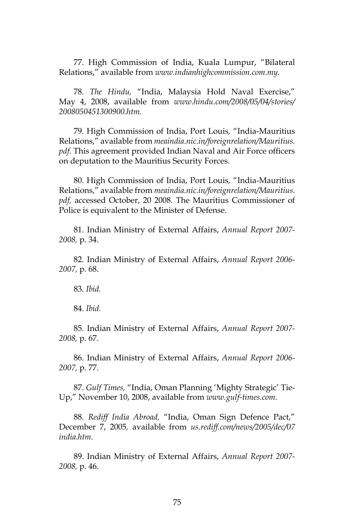77. High Commission of India, Kuala Lumpur, "Bilateral Relations," available from *www.indianhighcommission.com.my.*

78. *The Hindu,* "India, Malaysia Hold Naval Exercise," May 4, 2008, available from *www.hindu.com/2008/05/04/stories/ 2008050451300900.htm.*

79. High Commission of India, Port Louis*,* "India-Mauritius Relations," available from *meaindia.nic.in/foreignrelation/Mauritius. pdf*. This agreement provided Indian Naval and Air Force officers on deputation to the Mauritius Security Forces.

80. High Commission of India, Port Louis*,* "India-Mauritius Relations," available from *meaindia.nic.in/foreignrelation/Mauritius. pdf,* accessed October, 20 2008. The Mauritius Commissioner of Police is equivalent to the Minister of Defense.

81. Indian Ministry of External Affairs, *Annual Report 2007- 2008,* p. 34.

82. Indian Ministry of External Affairs, *Annual Report 2006- 2007,* p. 68.

83. *Ibid.*

84. *Ibid.*

85. Indian Ministry of External Affairs, *Annual Report 2007- 2008,* p. 67.

86. Indian Ministry of External Affairs, *Annual Report 2006- 2007,* p. 77.

87. *Gulf Times,* "India, Oman Planning 'Mighty Strategic' Tie-Up," November 10, 2008, available from *www.gulf-times.com.*

88. *Rediff India Abroad,* "India, Oman Sign Defence Pact," December 7, 2005*,* available from *us.rediff.com/news/2005/dec/07 india.htm.*

89. Indian Ministry of External Affairs, *Annual Report 2007- 2008,* p. 46.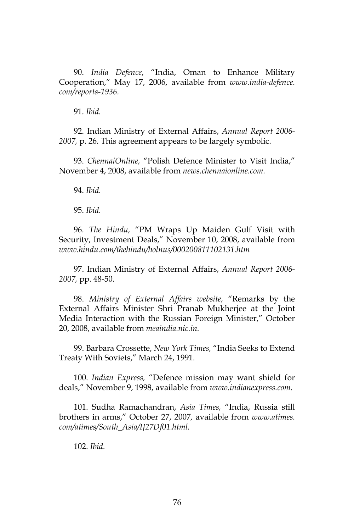90. *India Defence*, "India, Oman to Enhance Military Cooperation," May 17, 2006, available from *www.india-defence. com/reports-1936.*

91. *Ibid.*

92. Indian Ministry of External Affairs, *Annual Report 2006- 2007,* p. 26. This agreement appears to be largely symbolic.

93. *ChennaiOnline,* "Polish Defence Minister to Visit India," November 4, 2008, available from *news.chennaionline.com.*

94. *Ibid.*

95. *Ibid.*

96. *The Hindu,* "PM Wraps Up Maiden Gulf Visit with Security, Investment Deals," November 10, 2008, available from *www.hindu.com/thehindu/holnus/000200811102131.htm*

97. Indian Ministry of External Affairs, *Annual Report 2006- 2007,* pp. 48-50.

98. *Ministry of External Affairs website,* "Remarks by the External Affairs Minister Shri Pranab Mukherjee at the Joint Media Interaction with the Russian Foreign Minister," October 20, 2008, available from *meaindia.nic.in.*

99. Barbara Crossette, *New York Times,* "India Seeks to Extend Treaty With Soviets," March 24, 1991.

100. *Indian Express,* "Defence mission may want shield for deals," November 9, 1998, available from *www.indianexpress.com.*

101. Sudha Ramachandran, *Asia Times,* "India, Russia still brothers in arms," October 27, 2007*,* available from *www.atimes. com/atimes/South\_Asia/IJ27Df01.html.*

102. *Ibid.*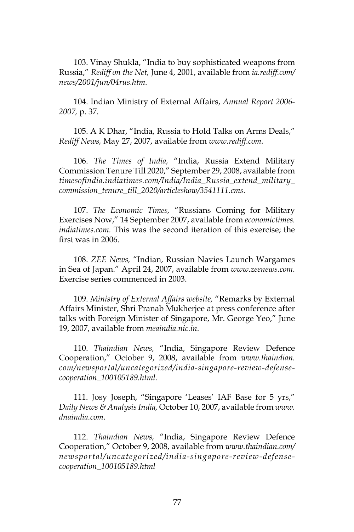103. Vinay Shukla, "India to buy sophisticated weapons from Russia," *Rediff on the Net,* June 4, 2001, available from *ia.rediff.com/ news/2001/jun/04rus.htm.*

104. Indian Ministry of External Affairs, *Annual Report 2006- 2007,* p. 37.

105. A K Dhar, "India, Russia to Hold Talks on Arms Deals," *Rediff News,* May 27, 2007, available from *www.rediff.com.*

106. *The Times of India,* "India, Russia Extend Military Commission Tenure Till 2020," September 29, 2008, available from *timesofindia.indiatimes.com/India/India\_Russia\_extend\_military\_ commission\_tenure\_till\_2020/articleshow/3541111.cms.*

107. *The Economic Times,* "Russians Coming for Military Exercises Now," 14 September 2007, available from *economictimes. indiatimes.com.* This was the second iteration of this exercise; the first was in 2006.

108. *ZEE News,* "Indian, Russian Navies Launch Wargames in Sea of Japan." April 24, 2007, available from *www.zeenews.com.* Exercise series commenced in 2003.

109. *Ministry of External Affairs website,* "Remarks by External Affairs Minister, Shri Pranab Mukherjee at press conference after talks with Foreign Minister of Singapore, Mr. George Yeo," June 19, 2007, available from *meaindia.nic.in.*

110. *Thaindian News,* "India, Singapore Review Defence Cooperation," October 9, 2008, available from *www.thaindian. com/newsportal/uncategorized/india-singapore-review-defensecooperation\_100105189.html.*

111. Josy Joseph, "Singapore 'Leases' IAF Base for 5 yrs," *Daily News & Analysis India,* October 10, 2007, available from *www. dnaindia.com.*

112. *Thaindian News,* "India, Singapore Review Defence Cooperation," October 9, 2008, available from *www.thaindian.com/ newsportal/uncategorized/india-singapore-review-defensecooperation\_100105189.html*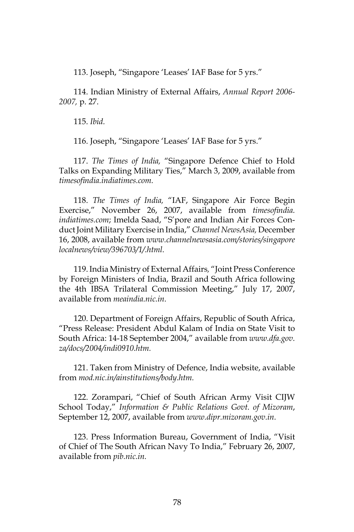113. Joseph, "Singapore 'Leases' IAF Base for 5 yrs."

114. Indian Ministry of External Affairs, *Annual Report 2006- 2007,* p. 27.

115. *Ibid.*

116. Joseph, "Singapore 'Leases' IAF Base for 5 yrs."

117. *The Times of India,* "Singapore Defence Chief to Hold Talks on Expanding Military Ties," March 3, 2009, available from *timesofindia.indiatimes.com.*

118. *The Times of India,* "IAF, Singapore Air Force Begin Exercise," November 26, 2007, available from *timesofindia. indiatimes.com*; Imelda Saad, "S'pore and Indian Air Forces Conduct Joint Military Exercise in India," *Channel NewsAsia,* December 16, 2008, available from *www.channelnewsasia.com/stories/singapore localnews/view/396703/1/.html.*

119. India Ministry of External Affairs*,* "Joint Press Conference by Foreign Ministers of India, Brazil and South Africa following the 4th IBSA Trilateral Commission Meeting," July 17, 2007, available from *meaindia.nic.in.*

120. Department of Foreign Affairs, Republic of South Africa, "Press Release: President Abdul Kalam of India on State Visit to South Africa: 14-18 September 2004," available from *www.dfa.gov. za/docs/2004/indi0910.htm.*

121. Taken from Ministry of Defence, India website, available from *mod.nic.in/ainstitutions/body.htm.*

122. Zorampari, "Chief of South African Army Visit CIJW School Today," *Information & Public Relations Govt. of Mizoram*, September 12, 2007, available from *www.dipr.mizoram.gov.in.*

123. Press Information Bureau, Government of India, "Visit of Chief of The South African Navy To India," February 26, 2007, available from *pib.nic.in.*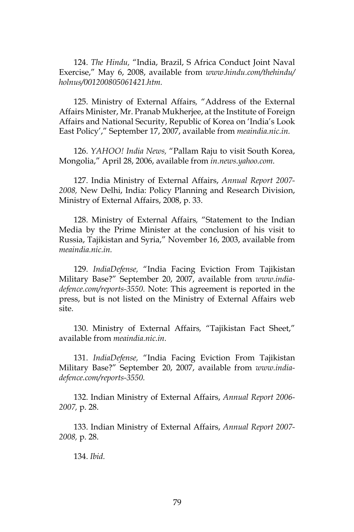124. *The Hindu,* "India, Brazil, S Africa Conduct Joint Naval Exercise," May 6, 2008, available from *www.hindu.com/thehindu/ holnus/001200805061421.htm.*

125. Ministry of External Affairs*,* "Address of the External Affairs Minister, Mr. Pranab Mukherjee, at the Institute of Foreign Affairs and National Security, Republic of Korea on 'India's Look East Policy'," September 17, 2007, available from *meaindia.nic.in.*

126. *YAHOO! India News,* "Pallam Raju to visit South Korea, Mongolia," April 28, 2006, available from *in.news.yahoo.com.*

127. India Ministry of External Affairs, *Annual Report 2007- 2008,* New Delhi, India: Policy Planning and Research Division, Ministry of External Affairs, 2008, p. 33.

128. Ministry of External Affairs*,* "Statement to the Indian Media by the Prime Minister at the conclusion of his visit to Russia, Tajikistan and Syria," November 16, 2003, available from *meaindia.nic.in.*

129. *IndiaDefense,* "India Facing Eviction From Tajikistan Military Base?" September 20, 2007, available from *www.indiadefence.com/reports-3550*. Note: This agreement is reported in the press, but is not listed on the Ministry of External Affairs web site.

130. Ministry of External Affairs*,* "Tajikistan Fact Sheet," available from *meaindia.nic.in.*

131. *IndiaDefense,* "India Facing Eviction From Tajikistan Military Base?" September 20, 2007, available from *www.indiadefence.com/reports-3550.*

132. Indian Ministry of External Affairs, *Annual Report 2006- 2007,* p. 28.

133. Indian Ministry of External Affairs, *Annual Report 2007- 2008,* p. 28.

134. *Ibid.*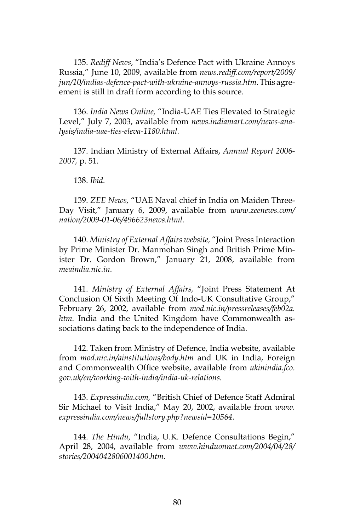135. *Rediff News*, "India's Defence Pact with Ukraine Annoys Russia," June 10, 2009, available from *news.rediff.com/report/2009/ jun/10/indias-defence-pact-with-ukraine-annoys-russia.htm*. This agreement is still in draft form according to this source.

136. *India News Online,* "India-UAE Ties Elevated to Strategic Level," July 7, 2003, available from *news.indiamart.com/news-analysis/india-uae-ties-eleva-1180.html.*

137. Indian Ministry of External Affairs, *Annual Report 2006- 2007,* p. 51.

138. *Ibid.*

139. *ZEE News,* "UAE Naval chief in India on Maiden Three-Day Visit," January 6, 2009, available from *www.zeenews.com/ nation/2009-01-06/496623news.html.*

140. *Ministry of External Affairs website,* "Joint Press Interaction by Prime Minister Dr. Manmohan Singh and British Prime Minister Dr. Gordon Brown," January 21, 2008, available from *meaindia.nic.in.*

141. *Ministry of External Affairs,* "Joint Press Statement At Conclusion Of Sixth Meeting Of Indo-UK Consultative Group," February 26, 2002, available from *mod.nic.in/pressreleases/feb02a. htm.* India and the United Kingdom have Commonwealth associations dating back to the independence of India.

142. Taken from Ministry of Defence, India website, available from *mod.nic.in/ainstitutions/body.htm* and UK in India, Foreign and Commonwealth Office website, available from *ukinindia.fco. gov.uk/en/working-with-india/india-uk-relations.*

143. *Expressindia.com,* "British Chief of Defence Staff Admiral Sir Michael to Visit India," May 20, 2002, available from *www. expressindia.com/news/fullstory.php?newsid=10564.*

144. *The Hindu,* "India, U.K. Defence Consultations Begin," April 28, 2004, available from *www.hinduonnet.com/2004/04/28/ stories/2004042806001400.htm.*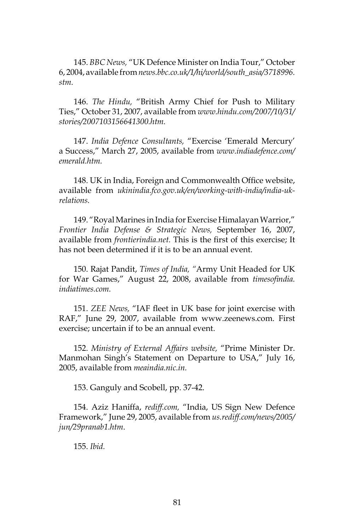145. *BBC News,* "UK Defence Minister on India Tour," October 6, 2004, available from *news.bbc.co.uk/1/hi/world/south\_asia/3718996. stm.*

146. *The Hindu,* "British Army Chief for Push to Military Ties," October 31, 2007, available from *www.hindu.com/2007/10/31/ stories/2007103156641300.htm.*

147. *India Defence Consultants,* "Exercise 'Emerald Mercury' a Success," March 27, 2005, available from *www.indiadefence.com/ emerald.htm.*

148. UK in India, Foreign and Commonwealth Office website, available from *ukinindia.fco.gov.uk/en/working-with-india/india-ukrelations.*

149. "Royal Marines in India for Exercise Himalayan Warrior," *Frontier India Defense & Strategic News,* September 16, 2007, available from *frontierindia.net.* This is the first of this exercise; It has not been determined if it is to be an annual event.

150. Rajat Pandit, *Times of India, "*Army Unit Headed for UK for War Games," August 22, 2008, available from *timesofindia. indiatimes.com.*

151. *ZEE News,* "IAF fleet in UK base for joint exercise with RAF," June 29, 2007, available from www.zeenews.com. First exercise; uncertain if to be an annual event.

152. *Ministry of External Affairs website,* "Prime Minister Dr. Manmohan Singh's Statement on Departure to USA," July 16, 2005, available from *meaindia.nic.in.*

153. Ganguly and Scobell, pp. 37-42.

154. Aziz Haniffa, *rediff.com,* "India, US Sign New Defence Framework," June 29, 2005, available from *us.rediff.com/news/2005/ jun/29pranab1.htm*.

155. *Ibid.*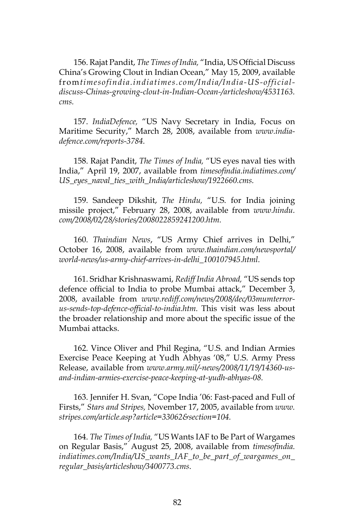156. Rajat Pandit, *The Times of India,* "India, US Official Discuss China's Growing Clout in Indian Ocean," May 15, 2009, available from*timesofindia.indiatimes.com/India/India-US-officialdiscuss-Chinas-growing-clout-in-Indian-Ocean-/articleshow/4531163. cms.*

157. *IndiaDefence,* "US Navy Secretary in India, Focus on Maritime Security," March 28, 2008, available from *www.indiadefence.com/reports-3784.*

158. Rajat Pandit, *The Times of India,* "US eyes naval ties with India," April 19, 2007, available from *timesofindia.indiatimes.com/ US\_eyes\_naval\_ties\_with\_India/articleshow/1922660.cms.*

159. Sandeep Dikshit, *The Hindu,* "U.S. for India joining missile project," February 28, 2008, available from *www.hindu. com/2008/02/28/stories/2008022859241200.htm.*

160. *Thaindian News*, "US Army Chief arrives in Delhi," October 16, 2008, available from *www.thaindian.com/newsportal/ world-news/us-army-chief-arrives-in-delhi\_100107945.html.*

161. Sridhar Krishnaswami, *Rediff India Abroad,* "US sends top defence official to India to probe Mumbai attack," December 3, 2008, available from *www.rediff.com/news/2008/dec/03mumterrorus-sends-top-defence-official-to-india.htm.* This visit was less about the broader relationship and more about the specific issue of the Mumbai attacks.

162. Vince Oliver and Phil Regina, "U.S. and Indian Armies Exercise Peace Keeping at Yudh Abhyas '08," U.S. Army Press Release, available from *www.army.mil/-news/2008/11/19/14360-usand-indian-armies-exercise-peace-keeping-at-yudh-abhyas-08.*

163. Jennifer H. Svan, "Cope India '06: Fast-paced and Full of Firsts," *Stars and Stripes,* November 17, 2005, available from *www. stripes.com/article.asp?article=33062&section=104.*

164. *The Times of India,* "US Wants IAF to Be Part of Wargames on Regular Basis," August 25, 2008, available from *timesofindia. indiatimes.com/India/US\_wants\_IAF\_to\_be\_part\_of\_wargames\_on\_ regular\_basis/articleshow/3400773.cms*.